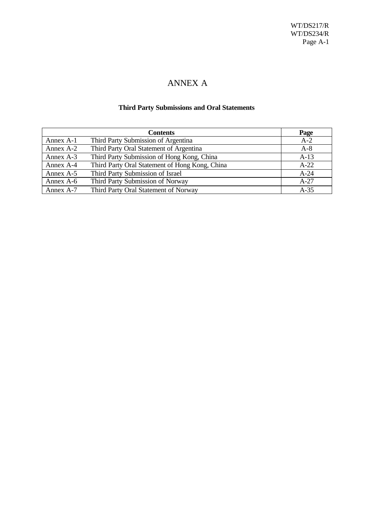# ANNEX A

# **Third Party Submissions and Oral Statements**

|           | <b>Contents</b>                                | Page   |
|-----------|------------------------------------------------|--------|
| Annex A-1 | Third Party Submission of Argentina            | $A-2$  |
| Annex A-2 | Third Party Oral Statement of Argentina        | $A-8$  |
| Annex A-3 | Third Party Submission of Hong Kong, China     | $A-13$ |
| Annex A-4 | Third Party Oral Statement of Hong Kong, China | $A-22$ |
| Annex A-5 | Third Party Submission of Israel               | $A-24$ |
| Annex A-6 | Third Party Submission of Norway               | $A-27$ |
| Annex A-7 | Third Party Oral Statement of Norway           | $A-35$ |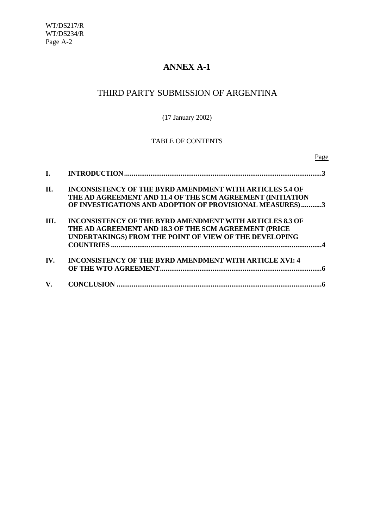# **ANNEX A-1**

## THIRD PARTY SUBMISSION OF ARGENTINA

### (17 January 2002)

### TABLE OF CONTENTS

Page

| I.   |                                                                                                                                                                                            |
|------|--------------------------------------------------------------------------------------------------------------------------------------------------------------------------------------------|
| П.   | <b>INCONSISTENCY OF THE BYRD AMENDMENT WITH ARTICLES 5.4 OF</b><br>THE AD AGREEMENT AND 11.4 OF THE SCM AGREEMENT (INITIATION<br>OF INVESTIGATIONS AND ADOPTION OF PROVISIONAL MEASURES) 3 |
| III. | <b>INCONSISTENCY OF THE BYRD AMENDMENT WITH ARTICLES 8.3 OF</b><br>THE AD AGREEMENT AND 18.3 OF THE SCM AGREEMENT (PRICE<br>UNDERTAKINGS) FROM THE POINT OF VIEW OF THE DEVELOPING         |
| IV.  | <b>INCONSISTENCY OF THE BYRD AMENDMENT WITH ARTICLE XVI: 4</b>                                                                                                                             |
| V.   | <b>CONCLUSION</b>                                                                                                                                                                          |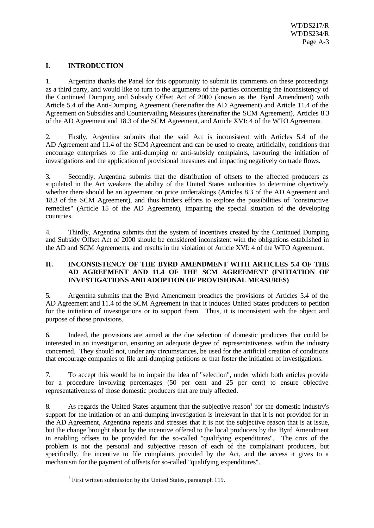### **I. INTRODUCTION**

1. Argentina thanks the Panel for this opportunity to submit its comments on these proceedings as a third party, and would like to turn to the arguments of the parties concerning the inconsistency of the Continued Dumping and Subsidy Offset Act of 2000 (known as the Byrd Amendment) with Article 5.4 of the Anti-Dumping Agreement (hereinafter the AD Agreement) and Article 11.4 of the Agreement on Subsidies and Countervailing Measures (hereinafter the SCM Agreement), Articles 8.3 of the AD Agreement and 18.3 of the SCM Agreement, and Article XVI: 4 of the WTO Agreement.

2. Firstly, Argentina submits that the said Act is inconsistent with Articles 5.4 of the AD Agreement and 11.4 of the SCM Agreement and can be used to create, artificially, conditions that encourage enterprises to file anti-dumping or anti-subsidy complaints, favouring the initiation of investigations and the application of provisional measures and impacting negatively on trade flows.

3. Secondly, Argentina submits that the distribution of offsets to the affected producers as stipulated in the Act weakens the ability of the United States authorities to determine objectively whether there should be an agreement on price undertakings (Articles 8.3 of the AD Agreement and 18.3 of the SCM Agreement), and thus hinders efforts to explore the possibilities of "constructive remedies" (Article 15 of the AD Agreement), impairing the special situation of the developing countries.

4. Thirdly, Argentina submits that the system of incentives created by the Continued Dumping and Subsidy Offset Act of 2000 should be considered inconsistent with the obligations established in the AD and SCM Agreements, and results in the violation of Article XVI: 4 of the WTO Agreement.

### **II. INCONSISTENCY OF THE BYRD AMENDMENT WITH ARTICLES 5.4 OF THE AD AGREEMENT AND 11.4 OF THE SCM AGREEMENT (INITIATION OF INVESTIGATIONS AND ADOPTION OF PROVISIONAL MEASURES)**

5. Argentina submits that the Byrd Amendment breaches the provisions of Articles 5.4 of the AD Agreement and 11.4 of the SCM Agreement in that it induces United States producers to petition for the initiation of investigations or to support them. Thus, it is inconsistent with the object and purpose of those provisions.

6. Indeed, the provisions are aimed at the due selection of domestic producers that could be interested in an investigation, ensuring an adequate degree of representativeness within the industry concerned. They should not, under any circumstances, be used for the artificial creation of conditions that encourage companies to file anti-dumping petitions or that foster the initiation of investigations.

7. To accept this would be to impair the idea of "selection", under which both articles provide for a procedure involving percentages (50 per cent and 25 per cent) to ensure objective representativeness of those domestic producers that are truly affected.

8. As regards the United States argument that the subjective reason for the domestic industry's support for the initiation of an anti-dumping investigation is irrelevant in that it is not provided for in the AD Agreement, Argentina repeats and stresses that it is not the subjective reason that is at issue, but the change brought about by the incentive offered to the local producers by the Byrd Amendment in enabling offsets to be provided for the so-called "qualifying expenditures". The crux of the problem is not the personal and subjective reason of each of the complainant producers, but specifically, the incentive to file complaints provided by the Act, and the access it gives to a mechanism for the payment of offsets for so-called "qualifying expenditures".

 $<sup>1</sup>$  First written submission by the United States, paragraph 119.</sup>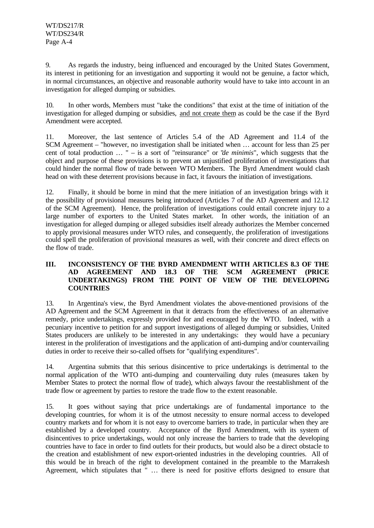9. As regards the industry, being influenced and encouraged by the United States Government, its interest in petitioning for an investigation and supporting it would not be genuine, a factor which, in normal circumstances, an objective and reasonable authority would have to take into account in an investigation for alleged dumping or subsidies.

10. In other words, Members must "take the conditions" that exist at the time of initiation of the investigation for alleged dumping or subsidies, and not create them as could be the case if the Byrd Amendment were accepted.

11. Moreover, the last sentence of Articles 5.4 of the AD Agreement and 11.4 of the SCM Agreement – "however, no investigation shall be initiated when … account for less than 25 per cent of total production … " – is a sort of "reinsurance" or "*de minimis*", which suggests that the object and purpose of these provisions is to prevent an unjustified proliferation of investigations that could hinder the normal flow of trade between WTO Members. The Byrd Amendment would clash head on with these deterrent provisions because in fact, it favours the initiation of investigations.

12. Finally, it should be borne in mind that the mere initiation of an investigation brings with it the possibility of provisional measures being introduced (Articles 7 of the AD Agreement and 12.12 of the SCM Agreement). Hence, the proliferation of investigations could entail concrete injury to a large number of exporters to the United States market. In other words, the initiation of an investigation for alleged dumping or alleged subsidies itself already authorizes the Member concerned to apply provisional measures under WTO rules, and consequently, the proliferation of investigations could spell the proliferation of provisional measures as well, with their concrete and direct effects on the flow of trade.

### **III. INCONSISTENCY OF THE BYRD AMENDMENT WITH ARTICLES 8.3 OF THE AD AGREEMENT AND 18.3 OF THE SCM AGREEMENT (PRICE UNDERTAKINGS) FROM THE POINT OF VIEW OF THE DEVELOPING COUNTRIES**

13. In Argentina's view, the Byrd Amendment violates the above-mentioned provisions of the AD Agreement and the SCM Agreement in that it detracts from the effectiveness of an alternative remedy, price undertakings, expressly provided for and encouraged by the WTO. Indeed, with a pecuniary incentive to petition for and support investigations of alleged dumping or subsidies, United States producers are unlikely to be interested in any undertakings: they would have a pecuniary interest in the proliferation of investigations and the application of anti-dumping and/or countervailing duties in order to receive their so-called offsets for "qualifying expenditures".

14. Argentina submits that this serious disincentive to price undertakings is detrimental to the normal application of the WTO anti-dumping and countervailing duty rules (measures taken by Member States to protect the normal flow of trade), which always favour the reestablishment of the trade flow or agreement by parties to restore the trade flow to the extent reasonable.

15. It goes without saying that price undertakings are of fundamental importance to the developing countries, for whom it is of the utmost necessity to ensure normal access to developed country markets and for whom it is not easy to overcome barriers to trade, in particular when they are established by a developed country. Acceptance of the Byrd Amendment, with its system of disincentives to price undertakings, would not only increase the barriers to trade that the developing countries have to face in order to find outlets for their products, but would also be a direct obstacle to the creation and establishment of new export-oriented industries in the developing countries. All of this would be in breach of the right to development contained in the preamble to the Marrakesh Agreement, which stipulates that " … there is need for positive efforts designed to ensure that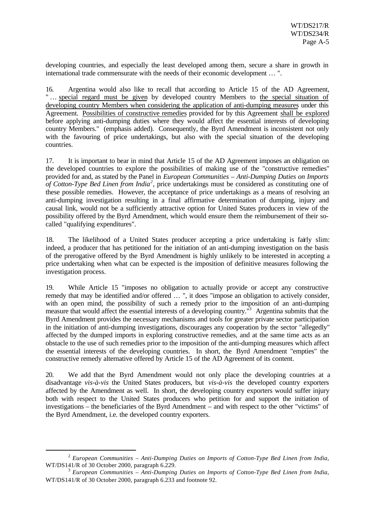developing countries, and especially the least developed among them, secure a share in growth in international trade commensurate with the needs of their economic development … ".

16. Argentina would also like to recall that according to Article 15 of the AD Agreement, "... special regard must be given by developed country Members to the special situation of developing country Members when considering the application of anti-dumping measures under this Agreement. Possibilities of constructive remedies provided for by this Agreement shall be explored before applying anti-dumping duties where they would affect the essential interests of developing country Members." (emphasis added). Consequently, the Byrd Amendment is inconsistent not only with the favouring of price undertakings, but also with the special situation of the developing countries.

17. It is important to bear in mind that Article 15 of the AD Agreement imposes an obligation on the developed countries to explore the possibilities of making use of the "constructive remedies" provided for and, as stated by the Panel in *European Communities – Anti-Dumping Duties on Imports of Cotton-Type Bed Linen from India<sup>2</sup>* , price undertakings must be considered as constituting one of these possible remedies. However, the acceptance of price undertakings as a means of resolving an anti-dumping investigation resulting in a final affirmative determination of dumping, injury and causal link, would not be a sufficiently attractive option for United States producers in view of the possibility offered by the Byrd Amendment, which would ensure them the reimbursement of their socalled "qualifying expenditures".

18. The likelihood of a United States producer accepting a price undertaking is fairly slim: indeed, a producer that has petitioned for the initiation of an anti-dumping investigation on the basis of the prerogative offered by the Byrd Amendment is highly unlikely to be interested in accepting a price undertaking when what can be expected is the imposition of definitive measures following the investigation process.

19. While Article 15 "imposes no obligation to actually provide or accept any constructive remedy that may be identified and/or offered … ", it does "impose an obligation to actively consider, with an open mind, the possibility of such a remedy prior to the imposition of an anti-dumping measure that would affect the essential interests of a developing country."<sup>3</sup> Argentina submits that the Byrd Amendment provides the necessary mechanisms and tools for greater private sector participation in the initiation of anti-dumping investigations, discourages any cooperation by the sector "allegedly" affected by the dumped imports in exploring constructive remedies, and at the same time acts as an obstacle to the use of such remedies prior to the imposition of the anti-dumping measures which affect the essential interests of the developing countries. In short, the Byrd Amendment "empties" the constructive remedy alternative offered by Article 15 of the AD Agreement of its content.

20. We add that the Byrd Amendment would not only place the developing countries at a disadvantage *vis-à-vis* the United States producers, but *vis-à-vis* the developed country exporters affected by the Amendment as well. In short, the developing country exporters would suffer injury both with respect to the United States producers who petition for and support the initiation of investigations – the beneficiaries of the Byrd Amendment – and with respect to the other "victims" of the Byrd Amendment, i.e. the developed country exporters.

<sup>2</sup> *European Communities – Anti-Dumping Duties on Imports of Cotton-Type Bed Linen from India*, WT/DS141/R of 30 October 2000, paragraph 6.229.

<sup>3</sup> *European Communities – Anti-Dumping Duties on Imports of Cotton-Type Bed Linen from India*, WT/DS141/R of 30 October 2000, paragraph 6.233 and footnote 92.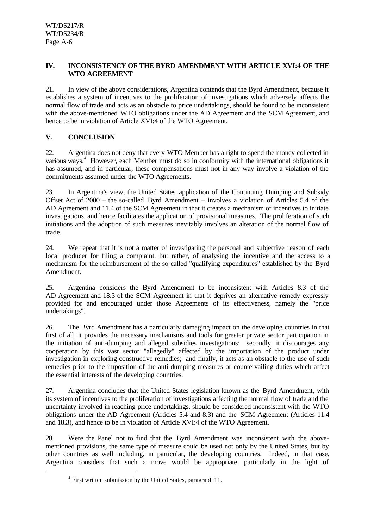### **IV. INCONSISTENCY OF THE BYRD AMENDMENT WITH ARTICLE XVI:4 OF THE WTO AGREEMENT**

21. In view of the above considerations, Argentina contends that the Byrd Amendment, because it establishes a system of incentives to the proliferation of investigations which adversely affects the normal flow of trade and acts as an obstacle to price undertakings, should be found to be inconsistent with the above-mentioned WTO obligations under the AD Agreement and the SCM Agreement, and hence to be in violation of Article XVI:4 of the WTO Agreement.

### **V. CONCLUSION**

22. Argentina does not deny that every WTO Member has a right to spend the money collected in various ways.<sup>4</sup> However, each Member must do so in conformity with the international obligations it has assumed, and in particular, these compensations must not in any way involve a violation of the commitments assumed under the WTO Agreements.

23. In Argentina's view, the United States' application of the Continuing Dumping and Subsidy Offset Act of 2000 – the so-called Byrd Amendment – involves a violation of Articles 5.4 of the AD Agreement and 11.4 of the SCM Agreement in that it creates a mechanism of incentives to initiate investigations, and hence facilitates the application of provisional measures. The proliferation of such initiations and the adoption of such measures inevitably involves an alteration of the normal flow of trade.

24. We repeat that it is not a matter of investigating the personal and subjective reason of each local producer for filing a complaint, but rather, of analysing the incentive and the access to a mechanism for the reimbursement of the so-called "qualifying expenditures" established by the Byrd Amendment.

25. Argentina considers the Byrd Amendment to be inconsistent with Articles 8.3 of the AD Agreement and 18.3 of the SCM Agreement in that it deprives an alternative remedy expressly provided for and encouraged under those Agreements of its effectiveness, namely the "price undertakings".

26. The Byrd Amendment has a particularly damaging impact on the developing countries in that first of all, it provides the necessary mechanisms and tools for greater private sector participation in the initiation of anti-dumping and alleged subsidies investigations; secondly, it discourages any cooperation by this vast sector "allegedly" affected by the importation of the product under investigation in exploring constructive remedies; and finally, it acts as an obstacle to the use of such remedies prior to the imposition of the anti-dumping measures or countervailing duties which affect the essential interests of the developing countries.

27. Argentina concludes that the United States legislation known as the Byrd Amendment, with its system of incentives to the proliferation of investigations affecting the normal flow of trade and the uncertainty involved in reaching price undertakings, should be considered inconsistent with the WTO obligations under the AD Agreement (Articles 5.4 and 8.3) and the SCM Agreement (Articles 11.4 and 18.3), and hence to be in violation of Article XVI:4 of the WTO Agreement.

28. Were the Panel not to find that the Byrd Amendment was inconsistent with the abovementioned provisions, the same type of measure could be used not only by the United States, but by other countries as well including, in particular, the developing countries. Indeed, in that case, Argentina considers that such a move would be appropriate, particularly in the light of

<sup>&</sup>lt;sup>4</sup> First written submission by the United States, paragraph 11.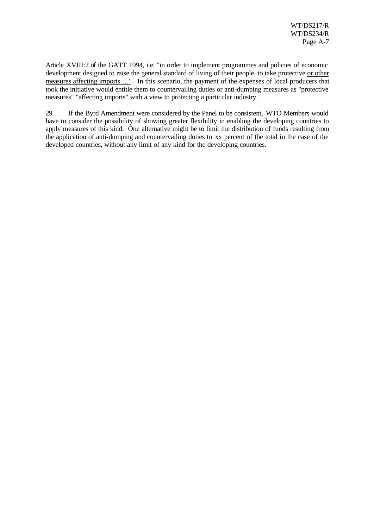Article XVIII:2 of the GATT 1994, i.e. "in order to implement programmes and policies of economic development designed to raise the general standard of living of their people, to take protective or other measures affecting imports ...". In this scenario, the payment of the expenses of local producers that took the initiative would entitle them to countervailing duties or anti-dumping measures as "protective measures" "affecting imports" with a view to protecting a particular industry.

29. If the Byrd Amendment were considered by the Panel to be consistent, WTO Members would have to consider the possibility of showing greater flexibility in enabling the developing countries to apply measures of this kind. One alternative might be to limit the distribution of funds resulting from the application of anti-dumping and countervailing duties to xx percent of the total in the case of the developed countries, without any limit of any kind for the developing countries.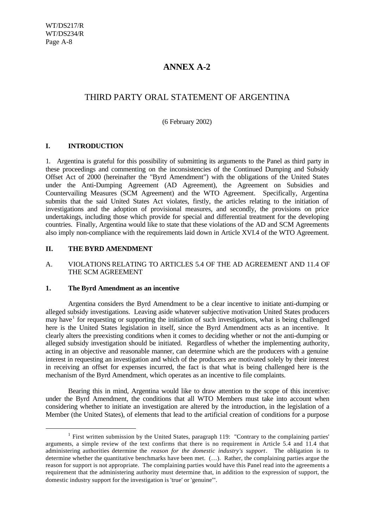## **ANNEX A-2**

### THIRD PARTY ORAL STATEMENT OF ARGENTINA

#### (6 February 2002)

#### **I. INTRODUCTION**

1. Argentina is grateful for this possibility of submitting its arguments to the Panel as third party in these proceedings and commenting on the inconsistencies of the Continued Dumping and Subsidy Offset Act of 2000 (hereinafter the "Byrd Amendment") with the obligations of the United States under the Anti-Dumping Agreement (AD Agreement), the Agreement on Subsidies and Countervailing Measures (SCM Agreement) and the WTO Agreement. Specifically, Argentina submits that the said United States Act violates, firstly, the articles relating to the initiation of investigations and the adoption of provisional measures, and secondly, the provisions on price undertakings, including those which provide for special and differential treatment for the developing countries. Finally, Argentina would like to state that these violations of the AD and SCM Agreements also imply non-compliance with the requirements laid down in Article XVI.4 of the WTO Agreement.

#### **II. THE BYRD AMENDMENT**

l

#### A. VIOLATIONS RELATING TO ARTICLES 5.4 OF THE AD AGREEMENT AND 11.4 OF THE SCM AGREEMENT

#### **1. The Byrd Amendment as an incentive**

Argentina considers the Byrd Amendment to be a clear incentive to initiate anti-dumping or alleged subsidy investigations. Leaving aside whatever subjective motivation United States producers may have<sup>1</sup> for requesting or supporting the initiation of such investigations, what is being challenged here is the United States legislation in itself, since the Byrd Amendment acts as an incentive. It clearly alters the preexisting conditions when it comes to deciding whether or not the anti-dumping or alleged subsidy investigation should be initiated. Regardless of whether the implementing authority, acting in an objective and reasonable manner, can determine which are the producers with a genuine interest in requesting an investigation and which of the producers are motivated solely by their interest in receiving an offset for expenses incurred, the fact is that what is being challenged here is the mechanism of the Byrd Amendment, which operates as an incentive to file complaints.

Bearing this in mind, Argentina would like to draw attention to the scope of this incentive: under the Byrd Amendment, the conditions that all WTO Members must take into account when considering whether to initiate an investigation are altered by the introduction, in the legislation of a Member (the United States), of elements that lead to the artificial creation of conditions for a purpose

<sup>&</sup>lt;sup>1</sup> First written submission by the United States, paragraph 119: "Contrary to the complaining parties' arguments, a simple review of the text confirms that there is no requirement in Article 5.4 and 11.4 that administering authorities determine the *reason for the domestic industry's support*. The obligation is to determine whether the quantitative benchmarks have been met. (…). Rather, the complaining parties argue the reason for support is not appropriate. The complaining parties would have this Panel read into the agreements a requirement that the administering authority must determine that, in addition to the expression of support, the domestic industry support for the investigation is 'true' or 'genuine'".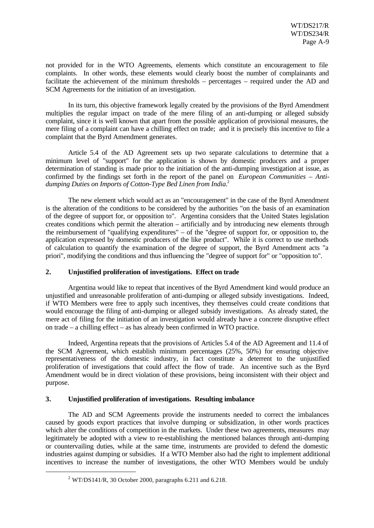not provided for in the WTO Agreements, elements which constitute an encouragement to file complaints. In other words, these elements would clearly boost the number of complainants and facilitate the achievement of the minimum thresholds – percentages – required under the AD and SCM Agreements for the initiation of an investigation.

In its turn, this objective framework legally created by the provisions of the Byrd Amendment multiplies the regular impact on trade of the mere filing of an anti-dumping or alleged subsidy complaint, since it is well known that apart from the possible application of provisional measures, the mere filing of a complaint can have a chilling effect on trade; and it is precisely this incentive to file a complaint that the Byrd Amendment generates.

Article 5.4 of the AD Agreement sets up two separate calculations to determine that a minimum level of "support" for the application is shown by domestic producers and a proper determination of standing is made prior to the initiation of the anti-dumping investigation at issue, as confirmed by the findings set forth in the report of the panel on *European Communities – Antidumping Duties on Imports of Cotton-Type Bed Linen from India*. 2

The new element which would act as an "encouragement" in the case of the Byrd Amendment is the alteration of the conditions to be considered by the authorities "on the basis of an examination of the degree of support for, or opposition to". Argentina considers that the United States legislation creates conditions which permit the alteration – artificially and by introducing new elements through the reimbursement of "qualifying expenditures" – of the "degree of support for, or opposition to, the application expressed by domestic producers of the like product". While it is correct to use methods of calculation to quantify the examination of the degree of support, the Byrd Amendment acts "a priori", modifying the conditions and thus influencing the "degree of support for" or "opposition to".

#### **2. Unjustified proliferation of investigations. Effect on trade**

Argentina would like to repeat that incentives of the Byrd Amendment kind would produce an unjustified and unreasonable proliferation of anti-dumping or alleged subsidy investigations. Indeed, if WTO Members were free to apply such incentives, they themselves could create conditions that would encourage the filing of anti-dumping or alleged subsidy investigations. As already stated, the mere act of filing for the initiation of an investigation would already have a concrete disruptive effect on trade – a chilling effect – as has already been confirmed in WTO practice.

Indeed, Argentina repeats that the provisions of Articles 5.4 of the AD Agreement and 11.4 of the SCM Agreement, which establish minimum percentages (25%, 50%) for ensuring objective representativeness of the domestic industry, in fact constitute a deterrent to the unjustified proliferation of investigations that could affect the flow of trade. An incentive such as the Byrd Amendment would be in direct violation of these provisions, being inconsistent with their object and purpose.

#### **3. Unjustified proliferation of investigations. Resulting imbalance**

The AD and SCM Agreements provide the instruments needed to correct the imbalances caused by goods export practices that involve dumping or subsidization, in other words practices which alter the conditions of competition in the markets. Under these two agreements, measures may legitimately be adopted with a view to re-establishing the mentioned balances through anti-dumping or countervailing duties, while at the same time, instruments are provided to defend the domestic industries against dumping or subsidies. If a WTO Member also had the right to implement additional incentives to increase the number of investigations, the other WTO Members would be unduly

 $2$  WT/DS141/R, 30 October 2000, paragraphs 6.211 and 6.218.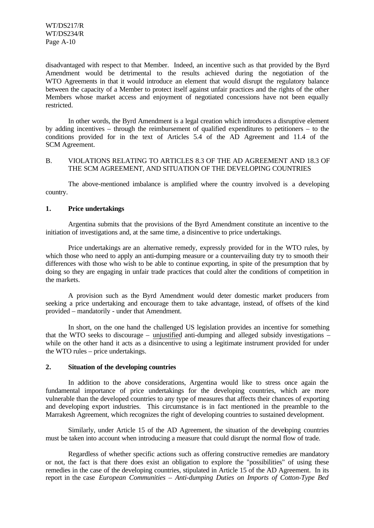disadvantaged with respect to that Member. Indeed, an incentive such as that provided by the Byrd Amendment would be detrimental to the results achieved during the negotiation of the WTO Agreements in that it would introduce an element that would disrupt the regulatory balance between the capacity of a Member to protect itself against unfair practices and the rights of the other Members whose market access and enjoyment of negotiated concessions have not been equally restricted.

In other words, the Byrd Amendment is a legal creation which introduces a disruptive element by adding incentives – through the reimbursement of qualified expenditures to petitioners – to the conditions provided for in the text of Articles 5.4 of the AD Agreement and 11.4 of the SCM Agreement.

#### B. VIOLATIONS RELATING TO ARTICLES 8.3 OF THE AD AGREEMENT AND 18.3 OF THE SCM AGREEMENT, AND SITUATION OF THE DEVELOPING COUNTRIES

The above-mentioned imbalance is amplified where the country involved is a developing country.

#### **1. Price undertakings**

Argentina submits that the provisions of the Byrd Amendment constitute an incentive to the initiation of investigations and, at the same time, a disincentive to price undertakings.

Price undertakings are an alternative remedy, expressly provided for in the WTO rules, by which those who need to apply an anti-dumping measure or a countervailing duty try to smooth their differences with those who wish to be able to continue exporting, in spite of the presumption that by doing so they are engaging in unfair trade practices that could alter the conditions of competition in the markets.

A provision such as the Byrd Amendment would deter domestic market producers from seeking a price undertaking and encourage them to take advantage, instead, of offsets of the kind provided – mandatorily - under that Amendment.

In short, on the one hand the challenged US legislation provides an incentive for something that the WTO seeks to discourage – unjustified anti-dumping and alleged subsidy investigations – while on the other hand it acts as a disincentive to using a legitimate instrument provided for under the WTO rules – price undertakings.

#### **2. Situation of the developing countries**

In addition to the above considerations, Argentina would like to stress once again the fundamental importance of price undertakings for the developing countries, which are more vulnerable than the developed countries to any type of measures that affects their chances of exporting and developing export industries. This circumstance is in fact mentioned in the preamble to the Marrakesh Agreement, which recognizes the right of developing countries to sustained development.

Similarly, under Article 15 of the AD Agreement, the situation of the developing countries must be taken into account when introducing a measure that could disrupt the normal flow of trade.

Regardless of whether specific actions such as offering constructive remedies are mandatory or not, the fact is that there does exist an obligation to explore the "possibilities" of using these remedies in the case of the developing countries, stipulated in Article 15 of the AD Agreement. In its report in the case *European Communities – Anti-dumping Duties on Imports of Cotton-Type Bed*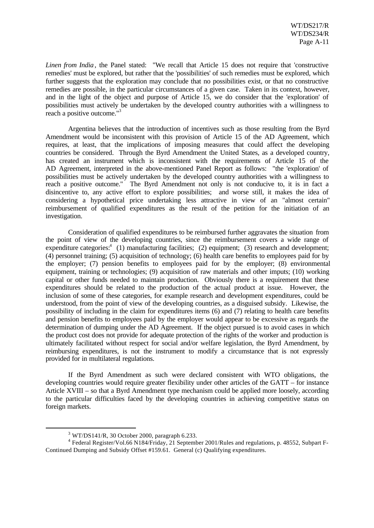*Linen from India*, the Panel stated: "We recall that Article 15 does not require that 'constructive remedies' must be explored, but rather that the 'possibilities' of such remedies must be explored, which further suggests that the exploration may conclude that no possibilities exist, or that no constructive remedies are possible, in the particular circumstances of a given case. Taken in its context, however, and in the light of the object and purpose of Article 15, we do consider that the 'exploration' of possibilities must actively be undertaken by the developed country authorities with a willingness to reach a positive outcome."<sup>3</sup>

Argentina believes that the introduction of incentives such as those resulting from the Byrd Amendment would be inconsistent with this provision of Article 15 of the AD Agreement, which requires, at least, that the implications of imposing measures that could affect the developing countries be considered. Through the Byrd Amendment the United States, as a developed country, has created an instrument which is inconsistent with the requirements of Article 15 of the AD Agreement, interpreted in the above-mentioned Panel Report as follows: "the 'exploration' of possibilities must be actively undertaken by the developed country authorities with a willingness to reach a positive outcome." The Byrd Amendment not only is not conducive to, it is in fact a disincentive to, any active effort to explore possibilities; and worse still, it makes the idea of considering a hypothetical price undertaking less attractive in view of an "almost certain" reimbursement of qualified expenditures as the result of the petition for the initiation of an investigation.

Consideration of qualified expenditures to be reimbursed further aggravates the situation from the point of view of the developing countries, since the reimbursement covers a wide range of expenditure categories:<sup>4</sup> (1) manufacturing facilities; (2) equipment; (3) research and development; (4) personnel training; (5) acquisition of technology; (6) health care benefits to employees paid for by the employer; (7) pension benefits to employees paid for by the employer; (8) environmental equipment, training or technologies; (9) acquisition of raw materials and other imputs; (10) working capital or other funds needed to maintain production. Obviously there is a requirement that these expenditures should be related to the production of the actual product at issue. However, the inclusion of some of these categories, for example research and development expenditures, could be understood, from the point of view of the developing countries, as a disguised subsidy. Likewise, the possibility of including in the claim for expenditures items (6) and (7) relating to health care benefits and pension benefits to employees paid by the employer would appear to be excessive as regards the determination of dumping under the AD Agreement. If the object pursued is to avoid cases in which the product cost does not provide for adequate protection of the rights of the worker and production is ultimately facilitated without respect for social and/or welfare legislation, the Byrd Amendment, by reimbursing expenditures, is not the instrument to modify a circumstance that is not expressly provided for in multilateral regulations.

If the Byrd Amendment as such were declared consistent with WTO obligations, the developing countries would require greater flexibility under other articles of the GATT – for instance Article XVIII – so that a Byrd Amendment type mechanism could be applied more loosely, according to the particular difficulties faced by the developing countries in achieving competitive status on foreign markets.

 $3$  WT/DS141/R, 30 October 2000, paragraph 6.233.

<sup>4</sup> Federal Register/Vol.66 N184/Friday, 21 September 2001/Rules and regulations, p. 48552, Subpart F-Continued Dumping and Subsidy Offset #159.61. General (c) Qualifying expenditures.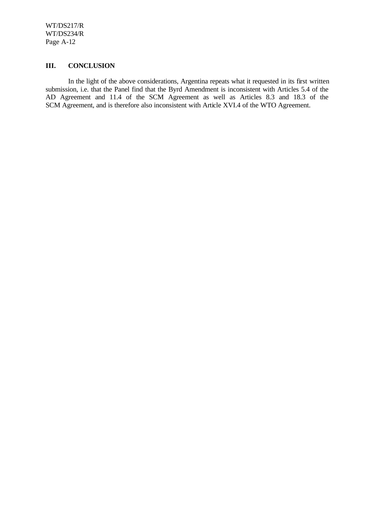WT/DS217/R WT/DS234/R Page A-12

#### **III. CONCLUSION**

In the light of the above considerations, Argentina repeats what it requested in its first written submission, i.e. that the Panel find that the Byrd Amendment is inconsistent with Articles 5.4 of the AD Agreement and 11.4 of the SCM Agreement as well as Articles 8.3 and 18.3 of the SCM Agreement, and is therefore also inconsistent with Article XVI.4 of the WTO Agreement.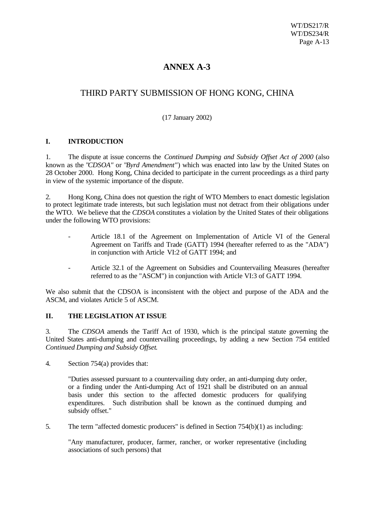## **ANNEX A-3**

## THIRD PARTY SUBMISSION OF HONG KONG, CHINA

### (17 January 2002)

#### **I. INTRODUCTION**

1. The dispute at issue concerns the *Continued Dumping and Subsidy Offset Act of 2000* (also known as the "*CDSOA"* or "*Byrd Amendment"*) which was enacted into law by the United States on 28 October 2000. Hong Kong, China decided to participate in the current proceedings as a third party in view of the systemic importance of the dispute.

2. Hong Kong, China does not question the right of WTO Members to enact domestic legislation to protect legitimate trade interests, but such legislation must not detract from their obligations under the WTO. We believe that the *CDSOA* constitutes a violation by the United States of their obligations under the following WTO provisions:

- Article 18.1 of the Agreement on Implementation of Article VI of the General Agreement on Tariffs and Trade (GATT) 1994 (hereafter referred to as the "ADA") in conjunction with Article VI:2 of GATT 1994; and
- Article 32.1 of the Agreement on Subsidies and Countervailing Measures (hereafter referred to as the "ASCM") in conjunction with Article VI:3 of GATT 1994.

We also submit that the CDSOA is inconsistent with the object and purpose of the ADA and the ASCM, and violates Article 5 of ASCM.

#### **II. THE LEGISLATION AT ISSUE**

3. The *CDSOA* amends the Tariff Act of 1930, which is the principal statute governing the United States anti-dumping and countervailing proceedings, by adding a new Section 754 entitled *Continued Dumping and Subsidy Offset*.

4. Section 754(a) provides that:

"Duties assessed pursuant to a countervailing duty order, an anti-dumping duty order, or a finding under the Anti-dumping Act of 1921 shall be distributed on an annual basis under this section to the affected domestic producers for qualifying expenditures. Such distribution shall be known as the continued dumping and subsidy offset."

5. The term "affected domestic producers" is defined in Section 754(b)(1) as including:

"Any manufacturer, producer, farmer, rancher, or worker representative (including associations of such persons) that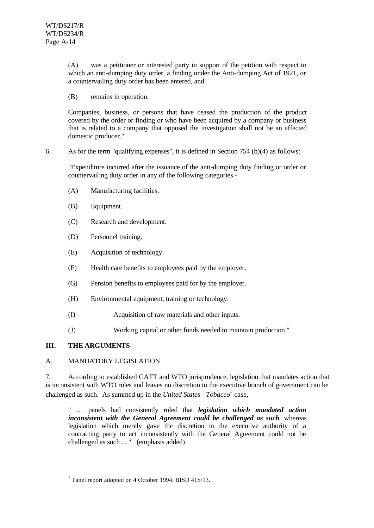(A) was a petitioner or interested party in support of the petition with respect to which an anti-dumping duty order, a finding under the Anti-dumping Act of 1921, or a countervailing duty order has been entered, and

(B) remains in operation.

Companies, business, or persons that have ceased the production of the product covered by the order or finding or who have been acquired by a company or business that is related to a company that opposed the investigation shall not be an affected domestic producer."

6. As for the term "qualifying expenses", it is defined in Section 754 (b)(4) as follows:

"Expenditure incurred after the issuance of the anti-dumping duty finding or order or countervailing duty order in any of the following categories -

- (A) Manufacturing facilities.
- (B) Equipment.
- (C) Research and development.
- (D) Personnel training.
- (E) Acquisition of technology.
- (F) Health care benefits to employees paid by the employer.
- (G) Pension benefits to employees paid for by the employer.
- (H) Environmental equipment, training or technology.
- (I) Acquisition of raw materials and other inputs.
- (J) Working capital or other funds needed to maintain production."

#### **III. THE ARGUMENTS**

l

#### A. MANDATORY LEGISLATION

7. According to established GATT and WTO jurisprudence, legislation that mandates action that is inconsistent with WTO rules and leaves no discretion to the executive branch of government can be challenged as such. As summed up in the *United States - Tobacco*<sup>1</sup> case,

" … panels had consistently ruled that *legislation which mandated action inconsistent with the General Agreement could be challenged as such*, whereas legislation which merely gave the discretion to the executive authority of a contracting party to act inconsistently with the General Agreement could not be challenged as such ... " (emphasis added)

<sup>&</sup>lt;sup>1</sup> Panel report adopted on 4 October 1994, BISD 41S/13.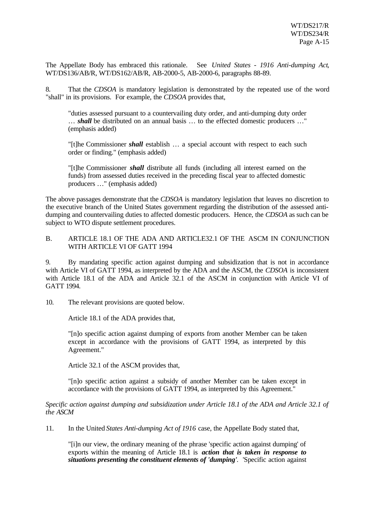The Appellate Body has embraced this rationale. See *United States - 1916 Anti-dumping Act*, WT/DS136/AB/R, WT/DS162/AB/R, AB-2000-5, AB-2000-6, paragraphs 88-89.

8. That the *CDSOA* is mandatory legislation is demonstrated by the repeated use of the word "shall" in its provisions. For example, the *CDSOA* provides that,

"duties assessed pursuant to a countervailing duty order, and anti-dumping duty order … *shall* be distributed on an annual basis … to the effected domestic producers …" (emphasis added)

"[t]he Commissioner *shall* establish … a special account with respect to each such order or finding." (emphasis added)

"[t]he Commissioner *shall* distribute all funds (including all interest earned on the funds) from assessed duties received in the preceding fiscal year to affected domestic producers …" (emphasis added)

The above passages demonstrate that the *CDSOA* is mandatory legislation that leaves no discretion to the executive branch of the United States government regarding the distribution of the assessed antidumping and countervailing duties to affected domestic producers. Hence, the *CDSOA* as such can be subject to WTO dispute settlement procedures.

#### B. ARTICLE 18.1 OF THE ADA AND ARTICLE32.1 OF THE ASCM IN CONJUNCTION WITH ARTICLE VI OF GATT 1994

9. By mandating specific action against dumping and subsidization that is not in accordance with Article VI of GATT 1994, as interpreted by the ADA and the ASCM, the *CDSOA* is inconsistent with Article 18.1 of the ADA and Article 32.1 of the ASCM in conjunction with Article VI of GATT 1994.

10. The relevant provisions are quoted below.

Article 18.1 of the ADA provides that,

"[n]o specific action against dumping of exports from another Member can be taken except in accordance with the provisions of GATT 1994, as interpreted by this Agreement."

Article 32.1 of the ASCM provides that,

"[n]o specific action against a subsidy of another Member can be taken except in accordance with the provisions of GATT 1994, as interpreted by this Agreement."

*Specific action against dumping and subsidization under Article 18.1 of the ADA and Article 32.1 of the ASCM*

11. In the United *States Anti-dumping Act of 1916* case, the Appellate Body stated that,

"[i]n our view, the ordinary meaning of the phrase 'specific action against dumping' of exports within the meaning of Article 18.1 is *action that is taken in response to situations presenting the constituent elements of 'dumping'*. 'Specific action against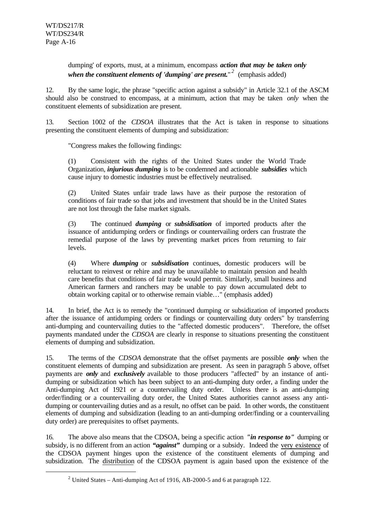l

dumping' of exports, must, at a minimum, encompass *action that may be taken only* when the constituent elements of 'dumping' are present."<sup>2</sup> (emphasis added)

12. By the same logic, the phrase "specific action against a subsidy" in Article 32.1 of the ASCM should also be construed to encompass, at a minimum, action that may be taken *only* when the constituent elements of subsidization are present.

13. Section 1002 of the *CDSOA* illustrates that the Act is taken in response to situations presenting the constituent elements of dumping and subsidization:

"Congress makes the following findings:

(1) Consistent with the rights of the United States under the World Trade Organization, *injurious dumping* is to be condemned and actionable *subsidies* which cause injury to domestic industries must be effectively neutralised.

(2) United States unfair trade laws have as their purpose the restoration of conditions of fair trade so that jobs and investment that should be in the United States are not lost through the false market signals.

(3) The continued *dumping* or *subsidisation* of imported products after the issuance of antidumping orders or findings or countervailing orders can frustrate the remedial purpose of the laws by preventing market prices from returning to fair levels.

(4) Where *dumping* or *subsidisation* continues, domestic producers will be reluctant to reinvest or rehire and may be unavailable to maintain pension and health care benefits that conditions of fair trade would permit. Similarly, small business and American farmers and ranchers may be unable to pay down accumulated debt to obtain working capital or to otherwise remain viable…" (emphasis added)

14. In brief, the Act is to remedy the "continued dumping or subsidization of imported products after the issuance of antidumping orders or findings or countervailing duty orders" by transferring anti-dumping and countervailing duties to the "affected domestic producers". Therefore, the offset payments mandated under the *CDSOA* are clearly in response to situations presenting the constituent elements of dumping and subsidization.

15. The terms of the *CDSOA* demonstrate that the offset payments are possible *only* when the constituent elements of dumping and subsidization are present. As seen in paragraph 5 above, offset payments are *only* and *exclusively* available to those producers "affected" by an instance of antidumping or subsidization which has been subject to an anti-dumping duty order, a finding under the Anti-dumping Act of 1921 or a countervailing duty order. Unless there is an anti-dumping order/finding or a countervailing duty order, the United States authorities cannot assess any antidumping or countervailing duties and as a result, no offset can be paid. In other words, the constituent elements of dumping and subsidization (leading to an anti-dumping order/finding or a countervailing duty order) are prerequisites to offset payments.

16. The above also means that the CDSOA, being a specific action *"in response to"* dumping or subsidy, is no different from an action *"against"* dumping or a subsidy. Indeed the very existence of the CDSOA payment hinges upon the existence of the constituent elements of dumping and subsidization. The distribution of the CDSOA payment is again based upon the existence of the

<sup>&</sup>lt;sup>2</sup> United States – Anti-dumping Act of 1916, AB-2000-5 and 6 at paragraph 122.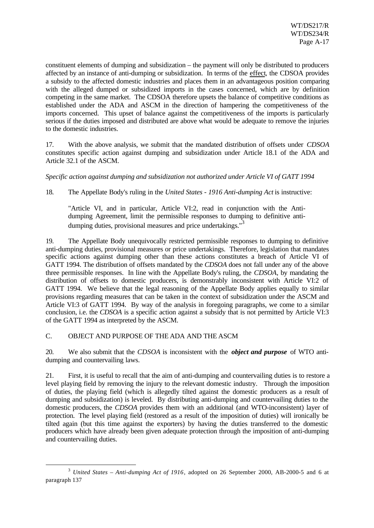constituent elements of dumping and subsidization – the payment will only be distributed to producers affected by an instance of anti-dumping or subsidization. In terms of the effect, the CDSOA provides a subsidy to the affected domestic industries and places them in an advantageous position comparing with the alleged dumped or subsidized imports in the cases concerned, which are by definition competing in the same market. The CDSOA therefore upsets the balance of competitive conditions as established under the ADA and ASCM in the direction of hampering the competitiveness of the imports concerned. This upset of balance against the competitiveness of the imports is particularly serious if the duties imposed and distributed are above what would be adequate to remove the injuries to the domestic industries.

17. With the above analysis, we submit that the mandated distribution of offsets under *CDSOA* constitutes specific action against dumping and subsidization under Article 18.1 of the ADA and Article 32.1 of the ASCM.

*Specific action against dumping and subsidization not authorized under Article VI of GATT 1994*

18. The Appellate Body's ruling in the *United States - 1916 Anti-dumping Act* is instructive:

"Article VI, and in particular, Article VI:2, read in conjunction with the Antidumping Agreement, limit the permissible responses to dumping to definitive antidumping duties, provisional measures and price undertakings."<sup>3</sup>

19. The Appellate Body unequivocally restricted permissible responses to dumping to definitive anti-dumping duties, provisional measures or price undertakings. Therefore, legislation that mandates specific actions against dumping other than these actions constitutes a breach of Article VI of GATT 1994. The distribution of offsets mandated by the *CDSOA* does not fall under any of the above three permissible responses. In line with the Appellate Body's ruling, the *CDSOA*, by mandating the distribution of offsets to domestic producers, is demonstrably inconsistent with Article VI:2 of GATT 1994. We believe that the legal reasoning of the Appellate Body applies equally to similar provisions regarding measures that can be taken in the context of subsidization under the ASCM and Article VI:3 of GATT 1994. By way of the analysis in foregoing paragraphs, we come to a similar conclusion, i.e. the *CDSOA* is a specific action against a subsidy that is not permitted by Article VI:3 of the GATT 1994 as interpreted by the ASCM.

#### C. OBJECT AND PURPOSE OF THE ADA AND THE ASCM

l

20. We also submit that the *CDSOA* is inconsistent with the *object and purpose* of WTO antidumping and countervailing laws.

21. First, it is useful to recall that the aim of anti-dumping and countervailing duties is to restore a level playing field by removing the injury to the relevant domestic industry. Through the imposition of duties, the playing field (which is allegedly tilted against the domestic producers as a result of dumping and subsidization) is leveled. By distributing anti-dumping and countervailing duties to the domestic producers, the *CDSOA* provides them with an additional (and WTO-inconsistent) layer of protection. The level playing field (restored as a result of the imposition of duties) will ironically be tilted again (but this time against the exporters) by having the duties transferred to the domestic producers which have already been given adequate protection through the imposition of anti-dumping and countervailing duties.

<sup>3</sup>  *United States – Anti-dumping Act of 1916*, adopted on 26 September 2000, AB-2000-5 and 6 at paragraph 137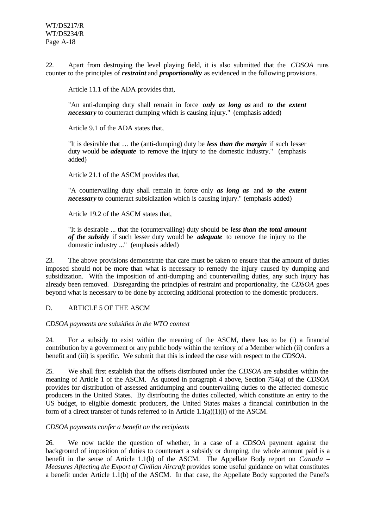22. Apart from destroying the level playing field, it is also submitted that the *CDSOA* runs counter to the principles of *restraint* and *proportionality* as evidenced in the following provisions.

Article 11.1 of the ADA provides that,

"An anti-dumping duty shall remain in force *only as long as* and *to the extent necessary* to counteract dumping which is causing injury."(emphasis added)

Article 9.1 of the ADA states that,

"It is desirable that … the (anti-dumping) duty be *less than the margin* if such lesser duty would be *adequate* to remove the injury to the domestic industry." (emphasis added)

Article 21.1 of the ASCM provides that,

"A countervailing duty shall remain in force only *as long as* and *to the extent necessary* to counteract subsidization which is causing injury." (emphasis added)

Article 19.2 of the ASCM states that,

"It is desirable ... that the (countervailing) duty should be *less than the total amount of the subsidy* if such lesser duty would be *adequate* to remove the injury to the domestic industry ..." (emphasis added)

23. The above provisions demonstrate that care must be taken to ensure that the amount of duties imposed should not be more than what is necessary to remedy the injury caused by dumping and subsidization. With the imposition of anti-dumping and countervailing duties, any such injury has already been removed. Disregarding the principles of restraint and proportionality, the *CDSOA* goes beyond what is necessary to be done by according additional protection to the domestic producers.

D. ARTICLE 5 OF THE ASCM

#### *CDSOA payments are subsidies in the WTO context*

24. For a subsidy to exist within the meaning of the ASCM, there has to be (i) a financial contribution by a government or any public body within the territory of a Member which (ii) confers a benefit and (iii) is specific. We submit that this is indeed the case with respect to the *CDSOA*.

25. We shall first establish that the offsets distributed under the *CDSOA* are subsidies within the meaning of Article 1 of the ASCM. As quoted in paragraph 4 above, Section 754(a) of the *CDSOA* provides for distribution of assessed antidumping and countervailing duties to the affected domestic producers in the United States. By distributing the duties collected, which constitute an entry to the US budget, to eligible domestic producers, the United States makes a financial contribution in the form of a direct transfer of funds referred to in Article 1.1(a)(1)(i) of the ASCM.

#### *CDSOA payments confer a benefit on the recipients*

26. We now tackle the question of whether, in a case of a *CDSOA* payment against the background of imposition of duties to counteract a subsidy or dumping, the whole amount paid is a benefit in the sense of Article 1.1(b) of the ASCM. The Appellate Body report on *Canada – Measures Affecting the Export of Civilian Aircraft* provides some useful guidance on what constitutes a benefit under Article 1.1(b) of the ASCM. In that case, the Appellate Body supported the Panel's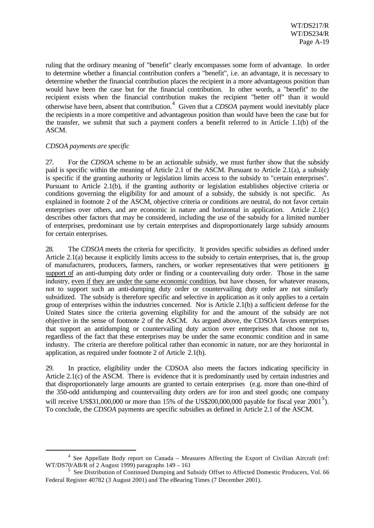ruling that the ordinary meaning of "benefit" clearly encompasses some form of advantage. In order to determine whether a financial contribution confers a "benefit", i.e. an advantage, it is necessary to determine whether the financial contribution places the recipient in a more advantageous position than would have been the case but for the financial contribution. In other words, a "benefit" to the recipient exists when the financial contribution makes the recipient "better off" than it would otherwise have been, absent that contribution.<sup>4</sup> Given that a *CDSOA* payment would inevitably place the recipients in a more competitive and advantageous position than would have been the case but for the transfer, we submit that such a payment confers a benefit referred to in Article 1.1(b) of the ASCM.

#### *CDSOA payments are specific*

l

27. For the *CDSOA* scheme to be an actionable subsidy, we must further show that the subsidy paid is specific within the meaning of Article 2.1 of the ASCM. Pursuant to Article 2.1(a), a subsidy is specific if the granting authority or legislation limits access to the subsidy to "certain enterprises". Pursuant to Article 2.1(b), if the granting authority or legislation establishes objective criteria or conditions governing the eligibility for and amount of a subsidy, the subsidy is not specific. As explained in footnote 2 of the ASCM, objective criteria or conditions are neutral, do not favor certain enterprises over others, and are economic in nature and horizontal in application. Article 2.1(c) describes other factors that may be considered, including the use of the subsidy for a limited number of enterprises, predominant use by certain enterprises and disproportionately large subsidy amounts for certain enterprises.

28. The *CDSOA* meets the criteria for specificity. It provides specific subsidies as defined under Article 2.1(a) because it explicitly limits access to the subsidy to certain enterprises, that is, the group of manufacturers, producers, farmers, ranchers, or worker representatives that were petitioners in support of an anti-dumping duty order or finding or a countervailing duty order. Those in the same industry, even if they are under the same economic condition, but have chosen, for whatever reasons, not to support such an anti-dumping duty order or countervailing duty order are not similarly subsidized. The subsidy is therefore specific and selective in application as it only applies to a certain group of enterprises within the industries concerned. Nor is Article 2.1(b) a sufficient defense for the United States since the criteria governing eligibility for and the amount of the subsidy are not objective in the sense of footnote 2 of the ASCM. As argued above, the CDSOA favors enterprises that support an antidumping or countervailing duty action over enterprises that choose not to, regardless of the fact that these enterprises may be under the same economic condition and in same industry. The criteria are therefore political rather than economic in nature, nor are they horizontal in application, as required under footnote 2 of Article 2.1(b).

29. In practice, eligibility under the CDSOA also meets the factors indicating specificity in Article 2.1(c) of the ASCM. There is evidence that it is predominantly used by certain industries and that disproportionately large amounts are granted to certain enterprises (e.g. more than one-third of the 350-odd antidumping and countervailing duty orders are for iron and steel goods; one company will receive US\$31,000,000 or more than 15% of the US\$200,000,000 payable for fiscal year  $2001<sup>5</sup>$ ). To conclude, the *CDSOA* payments are specific subsidies as defined in Article 2.1 of the ASCM.

<sup>&</sup>lt;sup>4</sup> See Appellate Body report on Canada – Measures Affecting the Export of Civilian Aircraft (ref: WT/DS70/AB/R of 2 August 1999) paragraphs 149 – 161

<sup>&</sup>lt;sup>5</sup> See Distribution of Continued Dumping and Subsidy Offset to Affected Domestic Producers, Vol. 66 Federal Register 40782 (3 August 2001) and The eBearing Times (7 December 2001).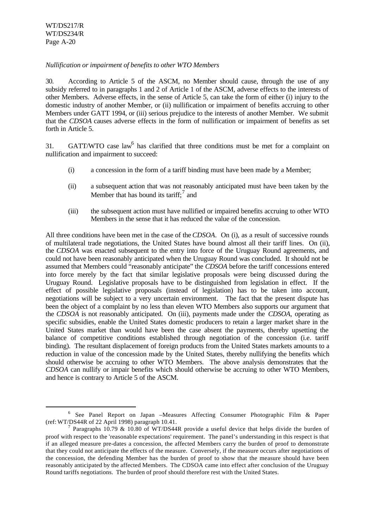l

#### *Nullification or impairment of benefits to other WTO Members*

30. According to Article 5 of the ASCM, no Member should cause, through the use of any subsidy referred to in paragraphs 1 and 2 of Article 1 of the ASCM, adverse effects to the interests of other Members. Adverse effects, in the sense of Article 5, can take the form of either (i) injury to the domestic industry of another Member, or (ii) nullification or impairment of benefits accruing to other Members under GATT 1994, or (iii) serious prejudice to the interests of another Member. We submit that the *CDSOA* causes adverse effects in the form of nullification or impairment of benefits as set forth in Article 5.

31. GATT/WTO case law has clarified that three conditions must be met for a complaint on nullification and impairment to succeed:

- (i) a concession in the form of a tariff binding must have been made by a Member;
- (ii) a subsequent action that was not reasonably anticipated must have been taken by the Member that has bound its tariff;  $\frac{7}{1}$  and
- (iii) the subsequent action must have nullified or impaired benefits accruing to other WTO Members in the sense that it has reduced the value of the concession.

All three conditions have been met in the case of the *CDSOA*. On (i), as a result of successive rounds of multilateral trade negotiations, the United States have bound almost all their tariff lines. On (ii), the *CDSOA* was enacted subsequent to the entry into force of the Uruguay Round agreements, and could not have been reasonably anticipated when the Uruguay Round was concluded. It should not be assumed that Members could "reasonably anticipate" the *CDSOA* before the tariff concessions entered into force merely by the fact that similar legislative proposals were being discussed during the Uruguay Round. Legislative proposals have to be distinguished from legislation in effect. If the effect of possible legislative proposals (instead of legislation) has to be taken into account, negotiations will be subject to a very uncertain environment. The fact that the present dispute has been the object of a complaint by no less than eleven WTO Members also supports our argument that the *CDSOA* is not reasonably anticipated. On (iii), payments made under the *CDSOA*, operating as specific subsidies, enable the United States domestic producers to retain a larger market share in the United States market than would have been the case absent the payments, thereby upsetting the balance of competitive conditions established through negotiation of the concession (i.e. tariff binding). The resultant displacement of foreign products from the United States markets amounts to a reduction in value of the concession made by the United States, thereby nullifying the benefits which should otherwise be accruing to other WTO Members. The above analysis demonstrates that the *CDSOA* can nullify or impair benefits which should otherwise be accruing to other WTO Members, and hence is contrary to Article 5 of the ASCM.

<sup>&</sup>lt;sup>6</sup> See Panel Report on Japan –Measures Affecting Consumer Photographic Film & Paper (ref: WT/DS44R of 22 April 1998) paragraph 10.41.

<sup>&</sup>lt;sup>7</sup> Paragraphs 10.79 & 10.80 of WT/DS44R provide a useful device that helps divide the burden of proof with respect to the 'reasonable expectations' requirement. The panel's understanding in this respect is that if an alleged measure pre-dates a concession, the affected Members carry the burden of proof to demonstrate that they could not anticipate the effects of the measure. Conversely, if the measure occurs after negotiations of the concession, the defending Member has the burden of proof to show that the measure should have been reasonably anticipated by the affected Members. The CDSOA came into effect after conclusion of the Uruguay Round tariffs negotiations. The burden of proof should therefore rest with the United States.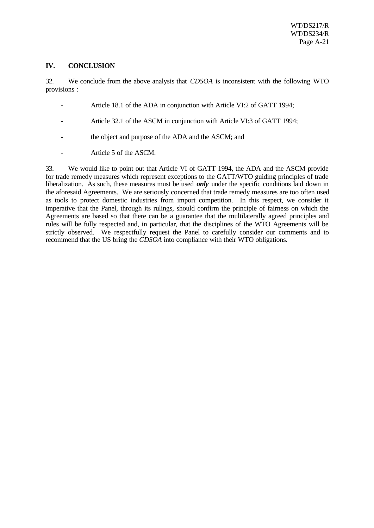#### **IV. CONCLUSION**

32. We conclude from the above analysis that *CDSOA* is inconsistent with the following WTO provisions :

- Article 18.1 of the ADA in conjunction with Article VI:2 of GATT 1994;
- Article 32.1 of the ASCM in conjunction with Article VI:3 of GATT 1994;
- the object and purpose of the ADA and the ASCM; and
- Article 5 of the ASCM.

33. We would like to point out that Article VI of GATT 1994, the ADA and the ASCM provide for trade remedy measures which represent exceptions to the GATT/WTO guiding principles of trade liberalization. As such, these measures must be used *only* under the specific conditions laid down in the aforesaid Agreements. We are seriously concerned that trade remedy measures are too often used as tools to protect domestic industries from import competition. In this respect, we consider it imperative that the Panel, through its rulings, should confirm the principle of fairness on which the Agreements are based so that there can be a guarantee that the multilaterally agreed principles and rules will be fully respected and, in particular, that the disciplines of the WTO Agreements will be strictly observed. We respectfully request the Panel to carefully consider our comments and to recommend that the US bring the *CDSOA* into compliance with their WTO obligations.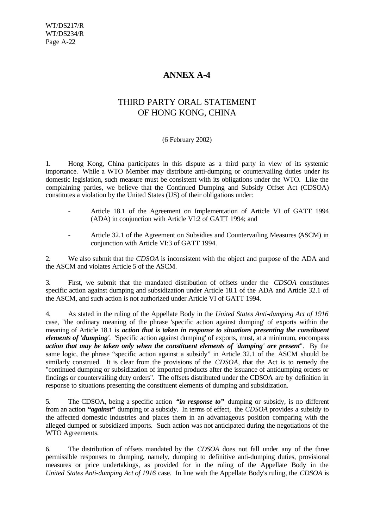## **ANNEX A-4**

## THIRD PARTY ORAL STATEMENT OF HONG KONG, CHINA

### (6 February 2002)

1. Hong Kong, China participates in this dispute as a third party in view of its systemic importance. While a WTO Member may distribute anti-dumping or countervailing duties under its domestic legislation, such measure must be consistent with its obligations under the WTO. Like the complaining parties, we believe that the Continued Dumping and Subsidy Offset Act (CDSOA) constitutes a violation by the United States (US) of their obligations under:

- Article 18.1 of the Agreement on Implementation of Article VI of GATT 1994 (ADA) in conjunction with Article VI:2 of GATT 1994; and
- Article 32.1 of the Agreement on Subsidies and Countervailing Measures (ASCM) in conjunction with Article VI:3 of GATT 1994.

2. We also submit that the *CDSOA* is inconsistent with the object and purpose of the ADA and the ASCM and violates Article 5 of the ASCM.

3. First, we submit that the mandated distribution of offsets under the *CDSOA* constitutes specific action against dumping and subsidization under Article 18.1 of the ADA and Article 32.1 of the ASCM, and such action is not authorized under Article VI of GATT 1994.

4. As stated in the ruling of the Appellate Body in the *United States Anti-dumping Act of 1916* case, "the ordinary meaning of the phrase 'specific action against dumping' of exports within the meaning of Article 18.1 is *action that is taken in response to situations presenting the constituent elements of 'dumping'*. 'Specific action against dumping' of exports, must, at a minimum, encompass *action that may be taken only when the constituent elements of 'dumping' are present*". By the same logic, the phrase "specific action against a subsidy" in Article 32.1 of the ASCM should be similarly construed. It is clear from the provisions of the *CDSOA*, that the Act is to remedy the "continued dumping or subsidization of imported products after the issuance of antidumping orders or findings or countervailing duty orders". The offsets distributed under the CDSOA are by definition in response to situations presenting the constituent elements of dumping and subsidization.

5. The CDSOA, being a specific action *"in response to"* dumping or subsidy, is no different from an action *"against"* dumping or a subsidy. In terms of effect, the *CDSOA* provides a subsidy to the affected domestic industries and places them in an advantageous position comparing with the alleged dumped or subsidized imports. Such action was not anticipated during the negotiations of the WTO Agreements.

6. The distribution of offsets mandated by the *CDSOA* does not fall under any of the three permissible responses to dumping, namely, dumping to definitive anti-dumping duties, provisional measures or price undertakings, as provided for in the ruling of the Appellate Body in the *United States Anti-dumping Act of 1916* case. In line with the Appellate Body's ruling, the *CDSOA* is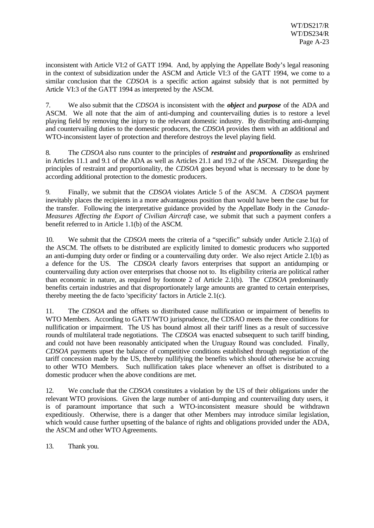inconsistent with Article VI:2 of GATT 1994. And, by applying the Appellate Body's legal reasoning in the context of subsidization under the ASCM and Article VI:3 of the GATT 1994, we come to a similar conclusion that the *CDSOA* is a specific action against subsidy that is not permitted by Article VI:3 of the GATT 1994 as interpreted by the ASCM.

7. We also submit that the *CDSOA* is inconsistent with the *object* and *purpose* of the ADA and ASCM. We all note that the aim of anti-dumping and countervailing duties is to restore a level playing field by removing the injury to the relevant domestic industry. By distributing anti-dumping and countervailing duties to the domestic producers, the *CDSOA* provides them with an additional and WTO-inconsistent layer of protection and therefore destroys the level playing field.

8. The *CDSOA* also runs counter to the principles of *restraint* and *proportionality* as enshrined in Articles 11.1 and 9.1 of the ADA as well as Articles 21.1 and 19.2 of the ASCM. Disregarding the principles of restraint and proportionality, the *CDSOA* goes beyond what is necessary to be done by according additional protection to the domestic producers.

9. Finally, we submit that the *CDSOA* violates Article 5 of the ASCM. A *CDSOA* payment inevitably places the recipients in a more advantageous position than would have been the case but for the transfer. Following the interpretative guidance provided by the Appellate Body in the *Canada-Measures Affecting the Export of Civilian Aircraft* case, we submit that such a payment confers a benefit referred to in Article 1.1(b) of the ASCM.

10. We submit that the *CDSOA* meets the criteria of a "specific" subsidy under Article 2.1(a) of the ASCM. The offsets to be distributed are explicitly limited to domestic producers who supported an anti-dumping duty order or finding or a countervailing duty order. We also reject Article 2.1(b) as a defence for the US. The *CDSOA* clearly favors enterprises that support an antidumping or countervailing duty action over enterprises that choose not to. Its eligibility criteria are political rather than economic in nature, as required by footnote 2 of Article 2.1(b). The *CDSOA* predominantly benefits certain industries and that disproportionately large amounts are granted to certain enterprises, thereby meeting the de facto 'specificity' factors in Article 2.1(c).

11. The *CDSOA* and the offsets so distributed cause nullification or impairment of benefits to WTO Members. According to GATT/WTO jurisprudence, the CDSAO meets the three conditions for nullification or impairment. The US has bound almost all their tariff lines as a result of successive rounds of multilateral trade negotiations. The *CDSOA* was enacted subsequent to such tariff binding, and could not have been reasonably anticipated when the Uruguay Round was concluded. Finally, *CDSOA* payments upset the balance of competitive conditions established through negotiation of the tariff concession made by the US, thereby nullifying the benefits which should otherwise be accruing to other WTO Members. Such nullification takes place whenever an offset is distributed to a domestic producer when the above conditions are met.

12. We conclude that the *CDSOA* constitutes a violation by the US of their obligations under the relevant WTO provisions. Given the large number of anti-dumping and countervailing duty users, it is of paramount importance that such a WTO-inconsistent measure should be withdrawn expeditiously. Otherwise, there is a danger that other Members may introduce similar legislation, which would cause further upsetting of the balance of rights and obligations provided under the ADA, the ASCM and other WTO Agreements.

13. Thank you.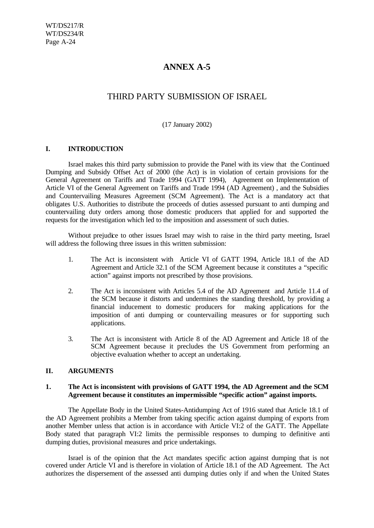## **ANNEX A-5**

### THIRD PARTY SUBMISSION OF ISRAEL

#### (17 January 2002)

#### **I. INTRODUCTION**

Israel makes this third party submission to provide the Panel with its view that the Continued Dumping and Subsidy Offset Act of 2000 (the Act) is in violation of certain provisions for the General Agreement on Tariffs and Trade 1994 (GATT 1994), Agreement on Implementation of Article VI of the General Agreement on Tariffs and Trade 1994 (AD Agreement) , and the Subsidies and Countervailing Measures Agreement (SCM Agreement). The Act is a mandatory act that obligates U.S. Authorities to distribute the proceeds of duties assessed pursuant to anti dumping and countervailing duty orders among those domestic producers that applied for and supported the requests for the investigation which led to the imposition and assessment of such duties.

Without prejudice to other issues Israel may wish to raise in the third party meeting, Israel will address the following three issues in this written submission:

- 1. The Act is inconsistent with Article VI of GATT 1994, Article 18.1 of the AD Agreement and Article 32.1 of the SCM Agreement because it constitutes a "specific action" against imports not prescribed by those provisions.
- 2. The Act is inconsistent with Articles 5.4 of the AD Agreement and Article 11.4 of the SCM because it distorts and undermines the standing threshold, by providing a financial inducement to domestic producers for making applications for the imposition of anti dumping or countervailing measures or for supporting such applications.
- 3. The Act is inconsistent with Article 8 of the AD Agreement and Article 18 of the SCM Agreement because it precludes the US Government from performing an objective evaluation whether to accept an undertaking.

#### **II. ARGUMENTS**

#### **1. The Act is inconsistent with provisions of GATT 1994, the AD Agreement and the SCM Agreement because it constitutes an impermissible "specific action" against imports.**

The Appellate Body in the United States-Antidumping Act of 1916 stated that Article 18.1 of the AD Agreement prohibits a Member from taking specific action against dumping of exports from another Member unless that action is in accordance with Article VI:2 of the GATT. The Appellate Body stated that paragraph VI:2 limits the permissible responses to dumping to definitive anti dumping duties, provisional measures and price undertakings.

Israel is of the opinion that the Act mandates specific action against dumping that is not covered under Article VI and is therefore in violation of Article 18.1 of the AD Agreement. The Act authorizes the dispersement of the assessed anti dumping duties only if and when the United States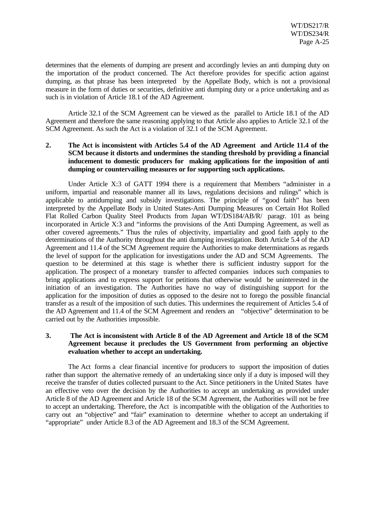determines that the elements of dumping are present and accordingly levies an anti dumping duty on the importation of the product concerned. The Act therefore provides for specific action against dumping, as that phrase has been interpreted by the Appellate Body, which is not a provisional measure in the form of duties or securities, definitive anti dumping duty or a price undertaking and as such is in violation of Article 18.1 of the AD Agreement.

Article 32.1 of the SCM Agreement can be viewed as the parallel to Article 18.1 of the AD Agreement and therefore the same reasoning applying to that Article also applies to Article 32.1 of the SCM Agreement. As such the Act is a violation of 32.1 of the SCM Agreement.

#### **2. The Act is inconsistent with Articles 5.4 of the AD Agreement and Article 11.4 of the SCM because it distorts and undermines the standing threshold by providing a financial inducement to domestic producers for making applications for the imposition of anti dumping or countervailing measures or for supporting such applications.**

Under Article X:3 of GATT 1994 there is a requirement that Members "administer in a uniform, impartial and reasonable manner all its laws, regulations decisions and rulings" which is applicable to antidumping and subsidy investigations. The principle of "good faith" has been interpreted by the Appellate Body in United States-Anti Dumping Measures on Certain Hot Rolled Flat Rolled Carbon Quality Steel Products from Japan WT/DS184/AB/R/ paragr. 101 as being incorporated in Article X:3 and "informs the provisions of the Anti Dumping Agreement, as well as other covered agreements." Thus the rules of objectivity, impartiality and good faith apply to the determinations of the Authority throughout the anti dumping investigation. Both Article 5.4 of the AD Agreement and 11.4 of the SCM Agreement require the Authorities to make determinations as regards the level of support for the application for investigations under the AD and SCM Agreements. The question to be determined at this stage is whether there is sufficient industry support for the application. The prospect of a monetary transfer to affected companies induces such companies to bring applications and to express support for petitions that otherwise would be uninterested in the initiation of an investigation. The Authorities have no way of distinguishing support for the application for the imposition of duties as opposed to the desire not to forego the possible financial transfer as a result of the imposition of such duties. This undermines the requirement of Articles 5.4 of the AD Agreement and 11.4 of the SCM Agreement and renders an "objective" determination to be carried out by the Authorities impossible.

#### **3. The Act is inconsistent with Article 8 of the AD Agreement and Article 18 of the SCM Agreement because it precludes the US Government from performing an objective evaluation whether to accept an undertaking.**

The Act forms a clear financial incentive for producers to support the imposition of duties rather than support the alternative remedy of an undertaking since only if a duty is imposed will they receive the transfer of duties collected pursuant to the Act. Since petitioners in the United States have an effective veto over the decision by the Authorities to accept an undertaking as provided under Article 8 of the AD Agreement and Article 18 of the SCM Agreement, the Authorities will not be free to accept an undertaking. Therefore, the Act is incompatible with the obligation of the Authorities to carry out an "objective" and "fair" examination to determine whether to accept an undertaking if "appropriate" under Article 8.3 of the AD Agreement and 18.3 of the SCM Agreement.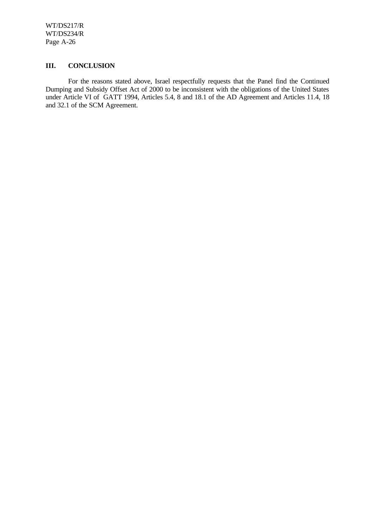WT/DS217/R WT/DS234/R Page A-26

#### **III. CONCLUSION**

For the reasons stated above, Israel respectfully requests that the Panel find the Continued Dumping and Subsidy Offset Act of 2000 to be inconsistent with the obligations of the United States under Article VI of GATT 1994, Articles 5.4, 8 and 18.1 of the AD Agreement and Articles 11.4, 18 and 32.1 of the SCM Agreement.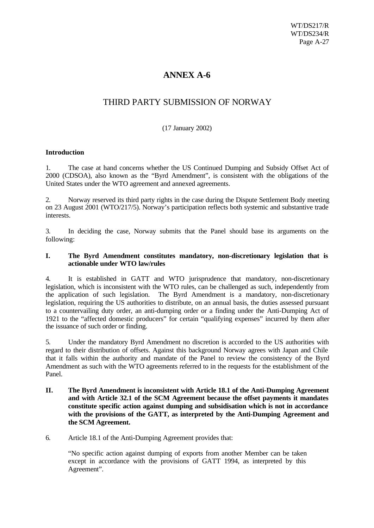## **ANNEX A-6**

## THIRD PARTY SUBMISSION OF NORWAY

### (17 January 2002)

#### **Introduction**

1. The case at hand concerns whether the US Continued Dumping and Subsidy Offset Act of 2000 (CDSOA), also known as the "Byrd Amendment", is consistent with the obligations of the United States under the WTO agreement and annexed agreements.

2. Norway reserved its third party rights in the case during the Dispute Settlement Body meeting on 23 August 2001 (WTO/217/5). Norway's participation reflects both systemic and substantive trade interests.

3. In deciding the case, Norway submits that the Panel should base its arguments on the following:

#### **I. The Byrd Amendment constitutes mandatory, non-discretionary legislation that is actionable under WTO law/rules**

4. It is established in GATT and WTO jurisprudence that mandatory, non-discretionary legislation, which is inconsistent with the WTO rules, can be challenged as such, independently from the application of such legislation. The Byrd Amendment is a mandatory, non-discretionary legislation, requiring the US authorities to distribute, on an annual basis, the duties assessed pursuant to a countervailing duty order, an anti-dumping order or a finding under the Anti-Dumping Act of 1921 to the "affected domestic producers" for certain "qualifying expenses" incurred by them after the issuance of such order or finding.

5. Under the mandatory Byrd Amendment no discretion is accorded to the US authorities with regard to their distribution of offsets. Against this background Norway agrees with Japan and Chile that it falls within the authority and mandate of the Panel to review the consistency of the Byrd Amendment as such with the WTO agreements referred to in the requests for the establishment of the Panel.

- **II. The Byrd Amendment is inconsistent with Article 18.1 of the Anti-Dumping Agreement and with Article 32.1 of the SCM Agreement because the offset payments it mandates constitute specific action against dumping and subsidisation which is not in accordance with the provisions of the GATT, as interpreted by the Anti-Dumping Agreement and the SCM Agreement.**
- 6. Article 18.1 of the Anti-Dumping Agreement provides that:

"No specific action against dumping of exports from another Member can be taken except in accordance with the provisions of GATT 1994, as interpreted by this Agreement".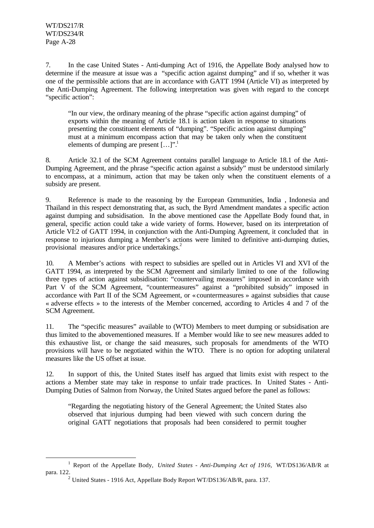l

7. In the case United States - Anti-dumping Act of 1916, the Appellate Body analysed how to determine if the measure at issue was a "specific action against dumping" and if so, whether it was one of the permissible actions that are in accordance with GATT 1994 (Article VI) as interpreted by the Anti-Dumping Agreement. The following interpretation was given with regard to the concept "specific action":

"In our view, the ordinary meaning of the phrase "specific action against dumping" of exports within the meaning of Article 18.1 is action taken in response to situations presenting the constituent elements of "dumping". "Specific action against dumping" must at a minimum encompass action that may be taken only when the constituent elements of dumping are present  $[\dots]$ ".

8. Article 32.1 of the SCM Agreement contains parallel language to Article 18.1 of the Anti-Dumping Agreement, and the phrase "specific action against a subsidy" must be understood similarly to encompass, at a minimum, action that may be taken only when the constituent elements of a subsidy are present.

9. Reference is made to the reasoning by the European Communities, India , Indonesia and Thailand in this respect demonstrating that, as such, the Byrd Amendment mandates a specific action against dumping and subsidisation. In the above mentioned case the Appellate Body found that, in general, specific action could take a wide variety of forms. However, based on its interpretation of Article VI:2 of GATT 1994, in conjunction with the Anti-Dumping Agreement, it concluded that in response to injurious dumping a Member's actions were limited to definitive anti-dumping duties, provisional measures and/or price undertakings.<sup>2</sup>

10. A Member's actions with respect to subsidies are spelled out in Articles VI and XVI of the GATT 1994, as interpreted by the SCM Agreement and similarly limited to one of the following three types of action against subsidisation: "countervailing measures" imposed in accordance with Part V of the SCM Agreement, "countermeasures" against a "prohibited subsidy" imposed in accordance with Part II of the SCM Agreement, or « countermeasures » against subsidies that cause « adverse effects » to the interests of the Member concerned, according to Articles 4 and 7 of the SCM Agreement.

11. The "specific measures" available to (WTO) Members to meet dumping or subsidisation are thus limited to the abovementioned measures. If a Member would like to see new measures added to this exhaustive list, or change the said measures, such proposals for amendments of the WTO provisions will have to be negotiated within the WTO. There is no option for adopting unilateral measures like the US offset at issue.

12. In support of this, the United States itself has argued that limits exist with respect to the actions a Member state may take in response to unfair trade practices. In United States - Anti-Dumping Duties of Salmon from Norway, the United States argued before the panel as follows:

"Regarding the negotiating history of the General Agreement; the United States also observed that injurious dumping had been viewed with such concern during the original GATT negotiations that proposals had been considered to permit tougher

<sup>&</sup>lt;sup>1</sup> Report of the Appellate Body, *United States - Anti-Dumping Act of 1916*, WT/DS136/AB/R at para. 122.

<sup>&</sup>lt;sup>2</sup> United States - 1916 Act, Appellate Body Report WT/DS136/AB/R, para. 137.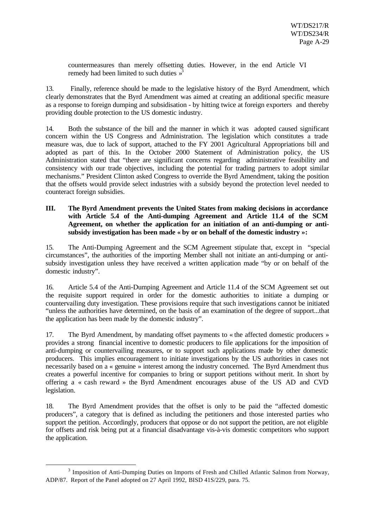countermeasures than merely offsetting duties. However, in the end Article VI remedy had been limited to such duties  $\overline{y}^3$ 

13. Finally, reference should be made to the legislative history of the Byrd Amendment, which clearly demonstrates that the Byrd Amendment was aimed at creating an additional specific measure as a response to foreign dumping and subsidisation - by hitting twice at foreign exporters and thereby providing double protection to the US domestic industry.

14. Both the substance of the bill and the manner in which it was adopted caused significant concern within the US Congress and Administration. The legislation which constitutes a trade measure was, due to lack of support, attached to the FY 2001 Agricultural Appropriations bill and adopted as part of this. In the October 2000 Statement of Administration policy, the US Administration stated that "there are significant concerns regarding administrative feasibility and consistency with our trade objectives, including the potential for trading partners to adopt similar mechanisms." President Clinton asked Congress to override the Byrd Amendment, taking the position that the offsets would provide select industries with a subsidy beyond the protection level needed to counteract foreign subsidies.

#### **III. The Byrd Amendment prevents the United States from making decisions in accordance with Article 5.4 of the Anti-dumping Agreement and Article 11.4 of the SCM Agreement, on whether the application for an initiation of an anti-dumping or antisubsidy investigation has been made « by or on behalf of the domestic industry »:**

15. The Anti-Dumping Agreement and the SCM Agreement stipulate that, except in "special circumstances", the authorities of the importing Member shall not initiate an anti-dumping or antisubsidy investigation unless they have received a written application made "by or on behalf of the domestic industry".

16. Article 5.4 of the Anti-Dumping Agreement and Article 11.4 of the SCM Agreement set out the requisite support required in order for the domestic authorities to initiate a dumping or countervailing duty investigation. These provisions require that such investigations cannot be initiated "unless the authorities have determined, on the basis of an examination of the degree of support...that the application has been made by the domestic industry".

17. The Byrd Amendment, by mandating offset payments to « the affected domestic producers » provides a strong financial incentive to domestic producers to file applications for the imposition of anti-dumping or countervailing measures, or to support such applications made by other domestic producers. This implies encouragement to initiate investigations by the US authorities in cases not necessarily based on a « genuine » interest among the industry concerned. The Byrd Amendment thus creates a powerful incentive for companies to bring or support petitions without merit. In short by offering a « cash reward » the Byrd Amendment encourages abuse of the US AD and CVD legislation.

18. The Byrd Amendment provides that the offset is only to be paid the "affected domestic producers", a category that is defined as including the petitioners and those interested parties who support the petition. Accordingly, producers that oppose or do not support the petition, are not eligible for offsets and risk being put at a financial disadvantage vis-à-vis domestic competitors who support the application.

<sup>&</sup>lt;sup>3</sup> Imposition of Anti-Dumping Duties on Imports of Fresh and Chilled Atlantic Salmon from Norway, ADP/87. Report of the Panel adopted on 27 April 1992, BISD 41S/229, para. 75.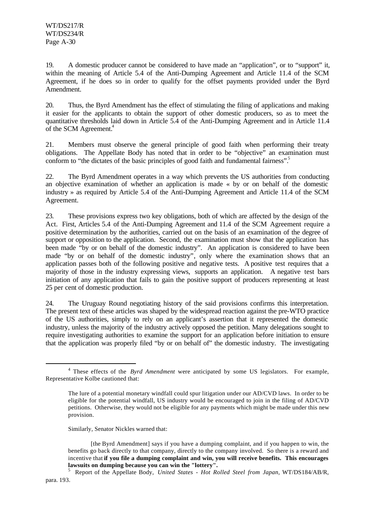19. A domestic producer cannot be considered to have made an "application", or to "support" it, within the meaning of Article 5.4 of the Anti-Dumping Agreement and Article 11.4 of the SCM Agreement, if he does so in order to qualify for the offset payments provided under the Byrd Amendment.

20. Thus, the Byrd Amendment has the effect of stimulating the filing of applications and making it easier for the applicants to obtain the support of other domestic producers, so as to meet the quantitative thresholds laid down in Article 5.4 of the Anti-Dumping Agreement and in Article 11.4 of the SCM Agreement.<sup>4</sup>

21. Members must observe the general principle of good faith when performing their treaty obligations. The Appellate Body has noted that in order to be "objective" an examination must conform to "the dictates of the basic principles of good faith and fundamental fairness".<sup>5</sup>

22. The Byrd Amendment operates in a way which prevents the US authorities from conducting an objective examination of whether an application is made « by or on behalf of the domestic industry » as required by Article 5.4 of the Anti-Dumping Agreement and Article 11.4 of the SCM Agreement.

23. These provisions express two key obligations, both of which are affected by the design of the Act. First, Articles 5.4 of the Anti-Dumping Agreement and 11.4 of the SCM Agreement require a positive determination by the authorities, carried out on the basis of an examination of the degree of support or opposition to the application. Second, the examination must show that the application has been made "by or on behalf of the domestic industry". An application is considered to have been made "by or on behalf of the domestic industry", only where the examination shows that an application passes both of the following positive and negative tests. A positive test requires that a majority of those in the industry expressing views, supports an application. A negative test bars initiation of any application that fails to gain the positive support of producers representing at least 25 per cent of domestic production.

24. The Uruguay Round negotiating history of the said provisions confirms this interpretation. The present text of these articles was shaped by the widespread reaction against the pre-WTO practice of the US authorities, simply to rely on an applicant's assertion that it represented the domestic industry, unless the majority of the industry actively opposed the petition. Many delegations sought to require investigating authorities to examine the support for an application before initiation to ensure that the application was properly filed "by or on behalf of" the domestic industry. The investigating

Similarly, Senator Nickles warned that:

<sup>4</sup> These effects of the *Byrd Amendment* were anticipated by some US legislators. For example, Representative Kolbe cautioned that:

The lure of a potential monetary windfall could spur litigation under our AD/CVD laws. In order to be eligible for the potential windfall, US industry would be encouraged to join in the filing of AD/CVD petitions. Otherwise, they would not be eligible for any payments which might be made under this new provision.

<sup>[</sup>the Byrd Amendment] says if you have a dumping complaint, and if you happen to win, the benefits go back directly to that company, directly to the company involved. So there is a reward and incentive that **if you file a dumping complaint and win, you will receive benefits. This encourages lawsuits on dumping because you can win the "lottery".**

<sup>5</sup> Report of the Appellate Body, *United States - Hot Rolled Steel from Japan,* WT/DS184/AB/R,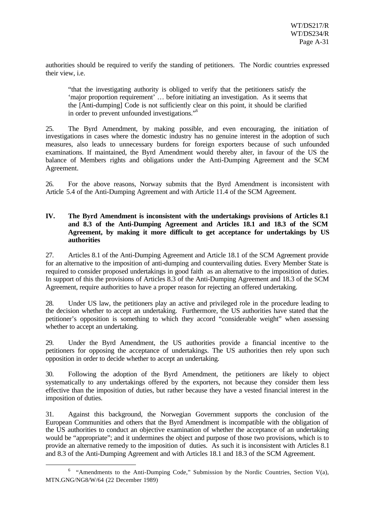authorities should be required to verify the standing of petitioners. The Nordic countries expressed their view, i.e.

"that the investigating authority is obliged to verify that the petitioners satisfy the 'major proportion requirement' … before initiating an investigation. As it seems that the [Anti-dumping] Code is not sufficiently clear on this point, it should be clarified in order to prevent unfounded investigations."<sup>6</sup>

25. The Byrd Amendment, by making possible, and even encouraging, the initiation of investigations in cases where the domestic industry has no genuine interest in the adoption of such measures, also leads to unnecessary burdens for foreign exporters because of such unfounded examinations. If maintained, the Byrd Amendment would thereby alter, in favour of the US the balance of Members rights and obligations under the Anti-Dumping Agreement and the SCM Agreement.

26. For the above reasons, Norway submits that the Byrd Amendment is inconsistent with Article 5.4 of the Anti-Dumping Agreement and with Article 11.4 of the SCM Agreement.

#### **IV. The Byrd Amendment is inconsistent with the undertakings provisions of Articles 8.1 and 8.3 of the Anti-Dumping Agreement and Articles 18.1 and 18.3 of the SCM Agreement, by making it more difficult to get acceptance for undertakings by US authorities**

27. Articles 8.1 of the Anti-Dumping Agreement and Article 18.1 of the SCM Agreement provide for an alternative to the imposition of anti-dumping and countervailing duties. Every Member State is required to consider proposed undertakings in good faith as an alternative to the imposition of duties. In support of this the provisions of Articles 8.3 of the Anti-Dumping Agreement and 18.3 of the SCM Agreement, require authorities to have a proper reason for rejecting an offered undertaking.

28. Under US law, the petitioners play an active and privileged role in the procedure leading to the decision whether to accept an undertaking. Furthermore, the US authorities have stated that the petitioner's opposition is something to which they accord "considerable weight" when assessing whether to accept an undertaking.

29. Under the Byrd Amendment, the US authorities provide a financial incentive to the petitioners for opposing the acceptance of undertakings. The US authorities then rely upon such opposition in order to decide whether to accept an undertaking.

30. Following the adoption of the Byrd Amendment, the petitioners are likely to object systematically to any undertakings offered by the exporters, not because they consider them less effective than the imposition of duties, but rather because they have a vested financial interest in the imposition of duties.

31. Against this background, the Norwegian Government supports the conclusion of the European Communities and others that the Byrd Amendment is incompatible with the obligation of the US authorities to conduct an objective examination of whether the acceptance of an undertaking would be "appropriate"; and it undermines the object and purpose of those two provisions, which is to provide an alternative remedy to the imposition of duties. As such it is inconsistent with Articles 8.1 and 8.3 of the Anti-Dumping Agreement and with Articles 18.1 and 18.3 of the SCM Agreement.

 $6$  "Amendments to the Anti-Dumping Code," Submission by the Nordic Countries, Section V(a), MTN.GNG/NG8/W/64 (22 December 1989)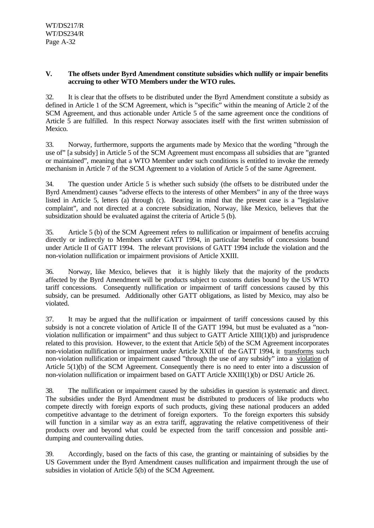#### **V. The offsets under Byrd Amendment constitute subsidies which nullify or impair benefits accruing to other WTO Members under the WTO rules.**

32. It is clear that the offsets to be distributed under the Byrd Amendment constitute a subsidy as defined in Article 1 of the SCM Agreement, which is "specific" within the meaning of Article 2 of the SCM Agreement, and thus actionable under Article 5 of the same agreement once the conditions of Article 5 are fulfilled. In this respect Norway associates itself with the first written submission of Mexico.

33. Norway, furthermore, supports the arguments made by Mexico that the wording "through the use of" [a subsidy] in Article 5 of the SCM Agreement must encompass all subsidies that are "granted or maintained", meaning that a WTO Member under such conditions is entitled to invoke the remedy mechanism in Article 7 of the SCM Agreement to a violation of Article 5 of the same Agreement.

34. The question under Article 5 is whether such subsidy (the offsets to be distributed under the Byrd Amendment) causes "adverse effects to the interests of other Members" in any of the three ways listed in Article 5, letters (a) through (c). Bearing in mind that the present case is a "legislative complaint", and not directed at a concrete subsidization, Norway, like Mexico, believes that the subsidization should be evaluated against the criteria of Article 5 (b).

35. Article 5 (b) of the SCM Agreement refers to nullification or impairment of benefits accruing directly or indirectly to Members under GATT 1994, in particular benefits of concessions bound under Article II of GATT 1994. The relevant provisions of GATT 1994 include the violation and the non-violation nullification or impairment provisions of Article XXIII.

36. Norway, like Mexico, believes that it is highly likely that the majority of the products affected by the Byrd Amendment will be products subject to customs duties bound by the US WTO tariff concessions. Consequently nullification or impairment of tariff concessions caused by this subsidy, can be presumed. Additionally other GATT obligations, as listed by Mexico, may also be violated.

37. It may be argued that the nullification or impairment of tariff concessions caused by this subsidy is not a concrete violation of Article II of the GATT 1994, but must be evaluated as a "nonviolation nullification or impairment" and thus subject to GATT Article XIII(1)(b) and jurisprudence related to this provision. However, to the extent that Article 5(b) of the SCM Agreement incorporates non-violation nullification or impairment under Article XXIII of the GATT 1994, it transforms such non-violation nullification or impairment caused "through the use of any subsidy" into a violation of Article 5(1)(b) of the SCM Agreement. Consequently there is no need to enter into a discussion of non-violation nullification or impairment based on GATT Article XXIII(1)(b) or DSU Article 26.

38. The nullification or impairment caused by the subsidies in question is systematic and direct. The subsidies under the Byrd Amendment must be distributed to producers of like products who compete directly with foreign exports of such products, giving these national producers an added competitive advantage to the detriment of foreign exporters. To the foreign exporters this subsidy will function in a similar way as an extra tariff, aggravating the relative competitiveness of their products over and beyond what could be expected from the tariff concession and possible antidumping and countervailing duties.

39. Accordingly, based on the facts of this case, the granting or maintaining of subsidies by the US Government under the Byrd Amendment causes nullification and impairment through the use of subsidies in violation of Article 5(b) of the SCM Agreement.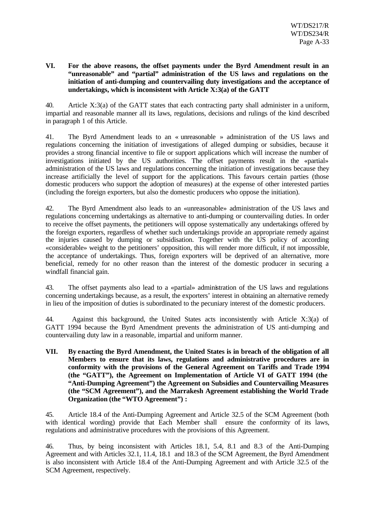#### **VI. For the above reasons, the offset payments under the Byrd Amendment result in an "unreasonable" and "partial" administration of the US laws and regulations on the initiation of anti-dumping and countervailing duty investigations and the acceptance of undertakings, which is inconsistent with Article X:3(a) of the GATT**

40. Article X:3(a) of the GATT states that each contracting party shall administer in a uniform, impartial and reasonable manner all its laws, regulations, decisions and rulings of the kind described in paragraph 1 of this Article.

41. The Byrd Amendment leads to an « unreasonable » administration of the US laws and regulations concerning the initiation of investigations of alleged dumping or subsidies, because it provides a strong financial incentive to file or support applications which will increase the number of investigations initiated by the US authorities. The offset payments result in the «partial» administration of the US laws and regulations concerning the initiation of investigations because they increase artificially the level of support for the applications. This favours certain parties (those domestic producers who support the adoption of measures) at the expense of other interested parties (including the foreign exporters, but also the domestic producers who oppose the initiation).

42. The Byrd Amendment also leads to an «unreasonable» administration of the US laws and regulations concerning undertakings as alternative to anti-dumping or countervailing duties. In order to receive the offset payments, the petitioners will oppose systematically any undertakings offered by the foreign exporters, regardless of whether such undertakings provide an appropriate remedy against the injuries caused by dumping or subsidisation. Together with the US policy of according «considerable» weight to the petitioners' opposition, this will render more difficult, if not impossible, the acceptance of undertakings. Thus, foreign exporters will be deprived of an alternative, more beneficial, remedy for no other reason than the interest of the domestic producer in securing a windfall financial gain.

43. The offset payments also lead to a «partial» administration of the US laws and regulations concerning undertakings because, as a result, the exporters' interest in obtaining an alternative remedy in lieu of the imposition of duties is subordinated to the pecuniary interest of the domestic producers.

44. Against this background, the United States acts inconsistently with Article X:3(a) of GATT 1994 because the Byrd Amendment prevents the administration of US anti-dumping and countervailing duty law in a reasonable, impartial and uniform manner.

**VII. By enacting the Byrd Amendment, the United States is in breach of the obligation of all Members to ensure that its laws, regulations and administrative procedures are in conformity with the provisions of the General Agreement on Tariffs and Trade 1994 (the "GATT"), the Agreement on Implementation of Article VI of GATT 1994 (the "Anti-Dumping Agreement") the Agreement on Subsidies and Countervailing Measures (the "SCM Agreement"), and the Marrakesh Agreement establishing the World Trade Organization (the "WTO Agreement") :**

45. Article 18.4 of the Anti-Dumping Agreement and Article 32.5 of the SCM Agreement (both with identical wording) provide that Each Member shall ensure the conformity of its laws, regulations and administrative procedures with the provisions of this Agreement.

46. Thus, by being inconsistent with Articles 18.1, 5.4, 8.1 and 8.3 of the Anti-Dumping Agreement and with Articles 32.1, 11.4, 18.1 and 18.3 of the SCM Agreement, the Byrd Amendment is also inconsistent with Article 18.4 of the Anti-Dumping Agreement and with Article 32.5 of the SCM Agreement, respectively.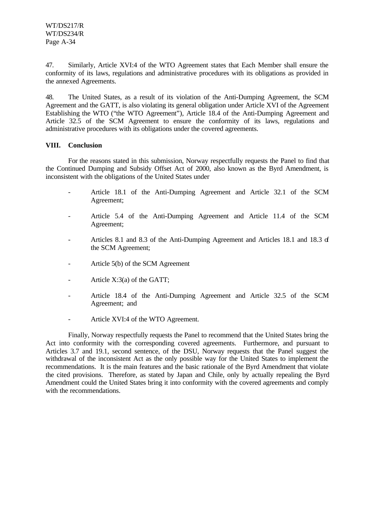47. Similarly, Article XVI:4 of the WTO Agreement states that Each Member shall ensure the conformity of its laws, regulations and administrative procedures with its obligations as provided in the annexed Agreements.

48. The United States, as a result of its violation of the Anti-Dumping Agreement, the SCM Agreement and the GATT, is also violating its general obligation under Article XVI of the Agreement Establishing the WTO ("the WTO Agreement"), Article 18.4 of the Anti-Dumping Agreement and Article 32.5 of the SCM Agreement to ensure the conformity of its laws, regulations and administrative procedures with its obligations under the covered agreements.

#### **VIII. Conclusion**

For the reasons stated in this submission, Norway respectfully requests the Panel to find that the Continued Dumping and Subsidy Offset Act of 2000, also known as the Byrd Amendment, is inconsistent with the obligations of the United States under

- Article 18.1 of the Anti-Dumping Agreement and Article 32.1 of the SCM Agreement;
- Article 5.4 of the Anti-Dumping Agreement and Article 11.4 of the SCM Agreement;
- Articles 8.1 and 8.3 of the Anti-Dumping Agreement and Articles 18.1 and 18.3 of the SCM Agreement;
- Article 5(b) of the SCM Agreement
- Article X:3(a) of the GATT;
- Article 18.4 of the Anti-Dumping Agreement and Article 32.5 of the SCM Agreement; and
- Article XVI:4 of the WTO Agreement.

Finally, Norway respectfully requests the Panel to recommend that the United States bring the Act into conformity with the corresponding covered agreements. Furthermore, and pursuant to Articles 3.7 and 19.1, second sentence, of the DSU, Norway requests that the Panel suggest the withdrawal of the inconsistent Act as the only possible way for the United States to implement the recommendations. It is the main features and the basic rationale of the Byrd Amendment that violate the cited provisions. Therefore, as stated by Japan and Chile, only by actually repealing the Byrd Amendment could the United States bring it into conformity with the covered agreements and comply with the recommendations.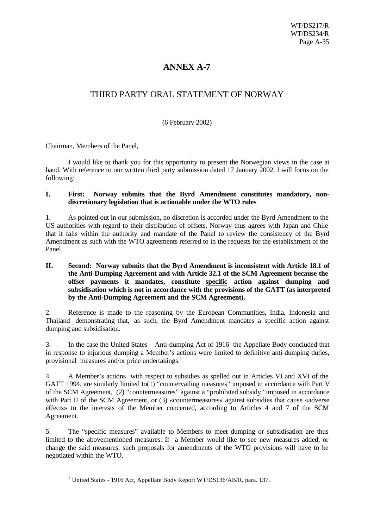## **ANNEX A-7**

# THIRD PARTY ORAL STATEMENT OF NORWAY

### (6 February 2002)

Chairman, Members of the Panel,

l

I would like to thank you for this opportunity to present the Norwegian views in the case at hand. With reference to our written third party submission dated 17 January 2002, I will focus on the following:

### **I. First: Norway submits that the Byrd Amendment constitutes mandatory, nondiscretionary legislation that is actionable under the WTO rules**

1. As pointed out in our submission, no discretion is accorded under the Byrd Amendment to the US authorities with regard to their distribution of offsets. Norway thus agrees with Japan and Chile that it falls within the authority and mandate of the Panel to review the consistency of the Byrd Amendment as such with the WTO agreements referred to in the requests for the establishment of the Panel.

#### **II. Second: Norway submits that the Byrd Amendment is inconsistent with Article 18.1 of the Anti-Dumping Agreement and with Article 32.1 of the SCM Agreement because the offset payments it mandates, constitute specific action against dumping and subsidisation which is not in accordance with the provisions of the GATT (as interpreted by the Anti-Dumping Agreement and the SCM Agreement).**

2. Reference is made to the reasoning by the European Communities, India, Indonesia and Thailand demonstrating that, as such, the Byrd Amendment mandates a specific action against dumping and subsidisation.

3. In the case the United States – Anti-dumping Act of 1916 the Appellate Body concluded that in response to injurious dumping a Member's actions were limited to definitive anti-dumping duties, provisional measures and/or price undertakings.<sup>1</sup>

4. A Member's actions with respect to subsidies as spelled out in Articles VI and XVI of the GATT 1994, are similarly limited to(1) "countervailing measures" imposed in accordance with Part V of the SCM Agreement, (2) "countermeasures" against a "prohibited subsidy" imposed in accordance with Part II of the SCM Agreement, or (3) «countermeasures» against subsidies that cause «adverse effects» to the interests of the Member concerned, according to Articles 4 and 7 of the SCM Agreement.

5. The "specific measures" available to Members to meet dumping or subsidisation are thus limited to the abovementioned measures. If a Member would like to see new measures added, or change the said measures, such proposals for amendments of the WTO provisions will have to be negotiated within the WTO.

<sup>&</sup>lt;sup>1</sup> United States - 1916 Act, Appellate Body Report WT/DS136/AB/R, para. 137.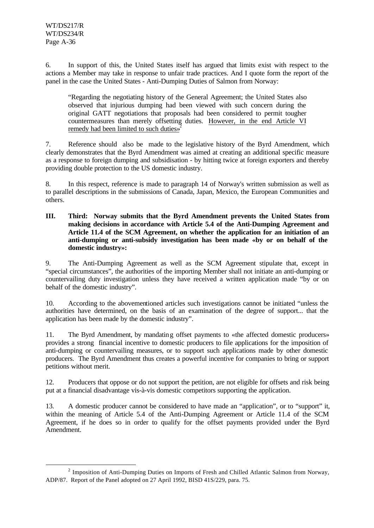l

6. In support of this, the United States itself has argued that limits exist with respect to the actions a Member may take in response to unfair trade practices. And I quote form the report of the panel in the case the United States - Anti-Dumping Duties of Salmon from Norway:

"Regarding the negotiating history of the General Agreement; the United States also observed that injurious dumping had been viewed with such concern during the original GATT negotiations that proposals had been considered to permit tougher countermeasures than merely offsetting duties. However, in the end Article VI remedy had been limited to such duties»<sup>2</sup>

7. Reference should also be made to the legislative history of the Byrd Amendment, which clearly demonstrates that the Byrd Amendment was aimed at creating an additional specific measure as a response to foreign dumping and subsidisation - by hitting twice at foreign exporters and thereby providing double protection to the US domestic industry.

8. In this respect, reference is made to paragraph 14 of Norway's written submission as well as to parallel descriptions in the submissions of Canada, Japan, Mexico, the European Communities and others.

**III. Third: Norway submits that the Byrd Amendment prevents the United States from making decisions in accordance with Article 5.4 of the Anti-Dumping Agreement and Article 11.4 of the SCM Agreement, on whether the application for an initiation of an anti-dumping or anti-subsidy investigation has been made «by or on behalf of the domestic industry»:**

9. The Anti-Dumping Agreement as well as the SCM Agreement stipulate that, except in "special circumstances", the authorities of the importing Member shall not initiate an anti-dumping or countervailing duty investigation unless they have received a written application made "by or on behalf of the domestic industry".

10. According to the abovementioned articles such investigations cannot be initiated "unless the authorities have determined, on the basis of an examination of the degree of support... that the application has been made by the domestic industry".

11. The Byrd Amendment, by mandating offset payments to «the affected domestic producers» provides a strong financial incentive to domestic producers to file applications for the imposition of anti-dumping or countervailing measures, or to support such applications made by other domestic producers. The Byrd Amendment thus creates a powerful incentive for companies to bring or support petitions without merit.

12. Producers that oppose or do not support the petition, are not eligible for offsets and risk being put at a financial disadvantage vis-à-vis domestic competitors supporting the application.

13. A domestic producer cannot be considered to have made an "application", or to "support" it, within the meaning of Article 5.4 of the Anti-Dumping Agreement or Article 11.4 of the SCM Agreement, if he does so in order to qualify for the offset payments provided under the Byrd Amendment.

<sup>&</sup>lt;sup>2</sup> Imposition of Anti-Dumping Duties on Imports of Fresh and Chilled Atlantic Salmon from Norway, ADP/87. Report of the Panel adopted on 27 April 1992, BISD 41S/229, para. 75.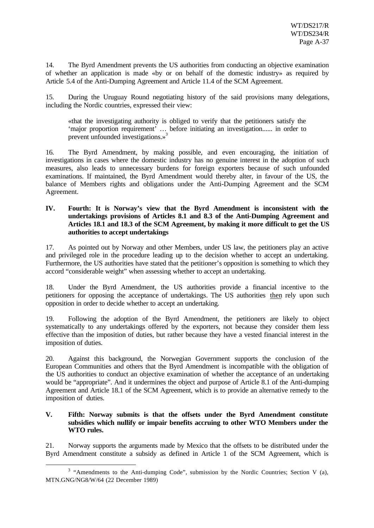14. The Byrd Amendment prevents the US authorities from conducting an objective examination of whether an application is made «by or on behalf of the domestic industry» as required by Article 5.4 of the Anti-Dumping Agreement and Article 11.4 of the SCM Agreement.

15. During the Uruguay Round negotiating history of the said provisions many delegations, including the Nordic countries, expressed their view:

«that the investigating authority is obliged to verify that the petitioners satisfy the 'major proportion requirement' … before initiating an investigation...... in order to prevent unfounded investigations.»<sup>3</sup>

16. The Byrd Amendment, by making possible, and even encouraging, the initiation of investigations in cases where the domestic industry has no genuine interest in the adoption of such measures, also leads to unnecessary burdens for foreign exporters because of such unfounded examinations. If maintained, the Byrd Amendment would thereby alter, in favour of the US, the balance of Members rights and obligations under the Anti-Dumping Agreement and the SCM Agreement.

#### **IV. Fourth: It is Norway's view that the Byrd Amendment is inconsistent with the undertakings provisions of Articles 8.1 and 8.3 of the Anti-Dumping Agreement and Articles 18.1 and 18.3 of the SCM Agreement, by making it more difficult to get the US authorities to accept undertakings**

17. As pointed out by Norway and other Members, under US law, the petitioners play an active and privileged role in the procedure leading up to the decision whether to accept an undertaking. Furthermore, the US authorities have stated that the petitioner's opposition is something to which they accord "considerable weight" when assessing whether to accept an undertaking.

18. Under the Byrd Amendment, the US authorities provide a financial incentive to the petitioners for opposing the acceptance of undertakings. The US authorities then rely upon such opposition in order to decide whether to accept an undertaking.

19. Following the adoption of the Byrd Amendment, the petitioners are likely to object systematically to any undertakings offered by the exporters, not because they consider them less effective than the imposition of duties, but rather because they have a vested financial interest in the imposition of duties.

20. Against this background, the Norwegian Government supports the conclusion of the European Communities and others that the Byrd Amendment is incompatible with the obligation of the US authorities to conduct an objective examination of whether the acceptance of an undertaking would be "appropriate". And it undermines the object and purpose of Article 8.1 of the Anti-dumping Agreement and Article 18.1 of the SCM Agreement, which is to provide an alternative remedy to the imposition of duties.

#### **V. Fifth: Norway submits is that the offsets under the Byrd Amendment constitute subsidies which nullify or impair benefits accruing to other WTO Members under the WTO rules.**

21. Norway supports the arguments made by Mexico that the offsets to be distributed under the Byrd Amendment constitute a subsidy as defined in Article 1 of the SCM Agreement, which is

 $3$  "Amendments to the Anti-dumping Code", submission by the Nordic Countries; Section V (a), MTN.GNG/NG8/W/64 (22 December 1989)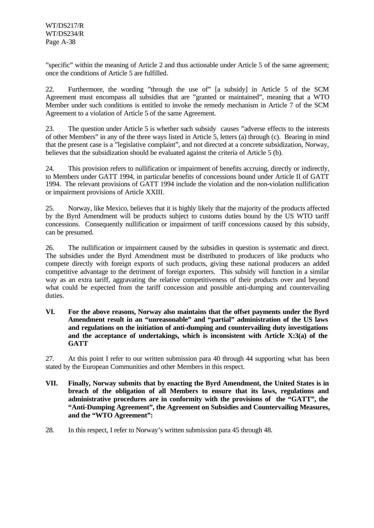"specific" within the meaning of Article 2 and thus actionable under Article 5 of the same agreement; once the conditions of Article 5 are fulfilled.

22. Furthermore, the wording "through the use of" [a subsidy] in Article 5 of the SCM Agreement must encompass all subsidies that are "granted or maintained", meaning that a WTO Member under such conditions is entitled to invoke the remedy mechanism in Article 7 of the SCM Agreement to a violation of Article 5 of the same Agreement.

23. The question under Article 5 is whether such subsidy causes "adverse effects to the interests of other Members" in any of the three ways listed in Article 5, letters (a) through (c). Bearing in mind that the present case is a "legislative complaint", and not directed at a concrete subsidization, Norway, believes that the subsidization should be evaluated against the criteria of Article 5 (b).

24. This provision refers to nullification or impairment of benefits accruing, directly or indirectly, to Members under GATT 1994, in particular benefits of concessions bound under Article II of GATT 1994. The relevant provisions of GATT 1994 include the violation and the non-violation nullification or impairment provisions of Article XXIII.

25. Norway, like Mexico, believes that it is highly likely that the majority of the products affected by the Byrd Amendment will be products subject to customs duties bound by the US WTO tariff concessions. Consequently nullification or impairment of tariff concessions caused by this subsidy, can be presumed.

26. The nullification or impairment caused by the subsidies in question is systematic and direct. The subsidies under the Byrd Amendment must be distributed to producers of like products who compete directly with foreign exports of such products, giving these national producers an added competitive advantage to the detriment of foreign exporters. This subsidy will function in a similar way as an extra tariff, aggravating the relative competitiveness of their products over and beyond what could be expected from the tariff concession and possible anti-dumping and countervailing duties.

**VI. For the above reasons, Norway also maintains that the offset payments under the Byrd Amendment result in an "unreasonable" and "partial" administration of the US laws and regulations on the initiation of anti-dumping and countervailing duty investigations and the acceptance of undertakings, which is inconsistent with Article X:3(a) of the GATT**

27. At this point I refer to our written submission para 40 through 44 supporting what has been stated by the European Communities and other Members in this respect.

- **VII. Finally, Norway submits that by enacting the Byrd Amendment, the United States is in breach of the obligation of all Members to ensure that its laws, regulations and administrative procedures are in conformity with the provisions of the "GATT", the "Anti-Dumping Agreement", the Agreement on Subsidies and Countervailing Measures, and the "WTO Agreement":**
- 28. In this respect, I refer to Norway's written submission para 45 through 48.